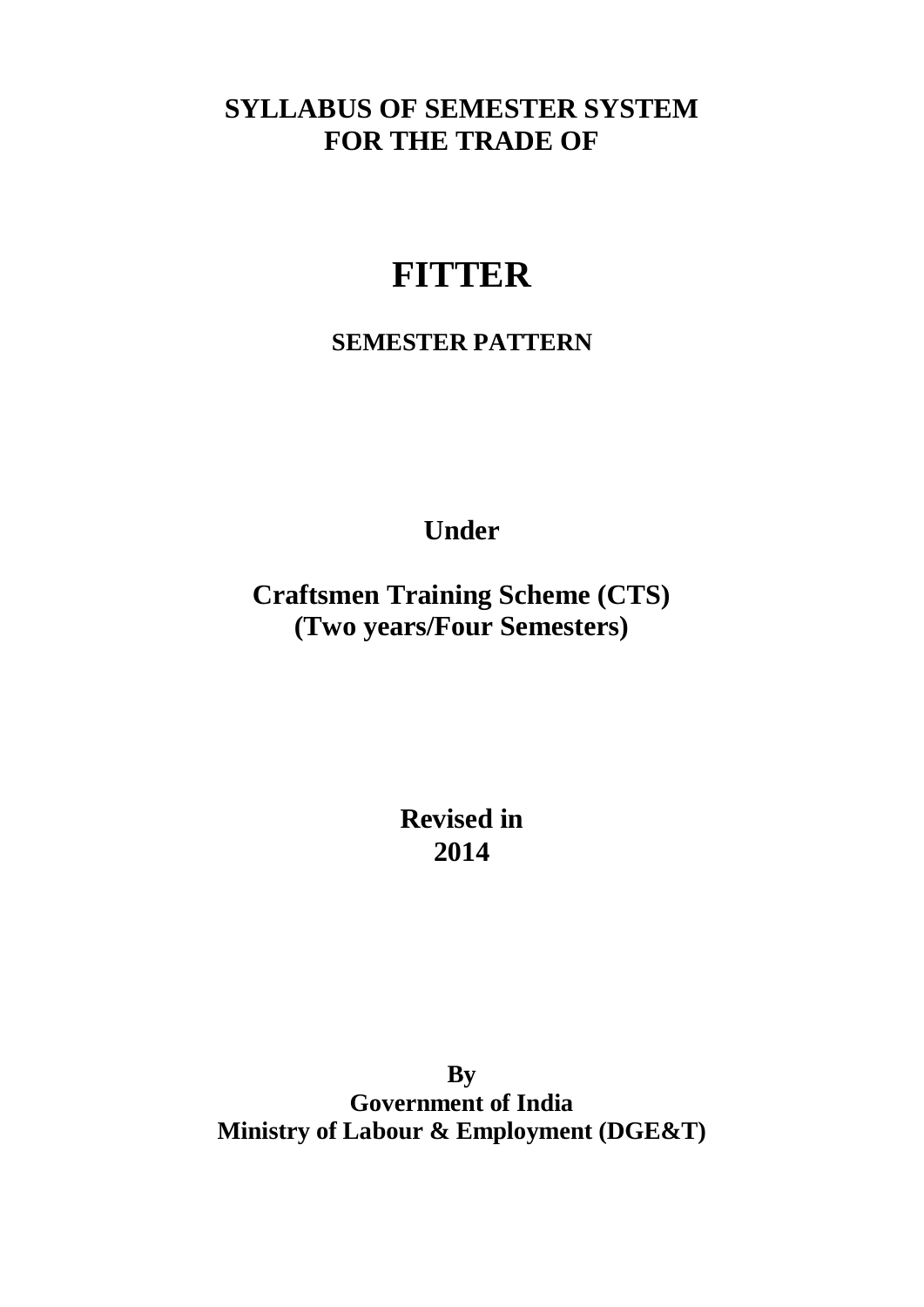### **SYLLABUS OF SEMESTER SYSTEM FOR THE TRADE OF**

# **FITTER**

#### **SEMESTER PATTERN**

**Under** 

**Craftsmen Training Scheme (CTS) (Two years/Four Semesters)** 

> **Revised in 2014**

**By Government of India Ministry of Labour & Employment (DGE&T)**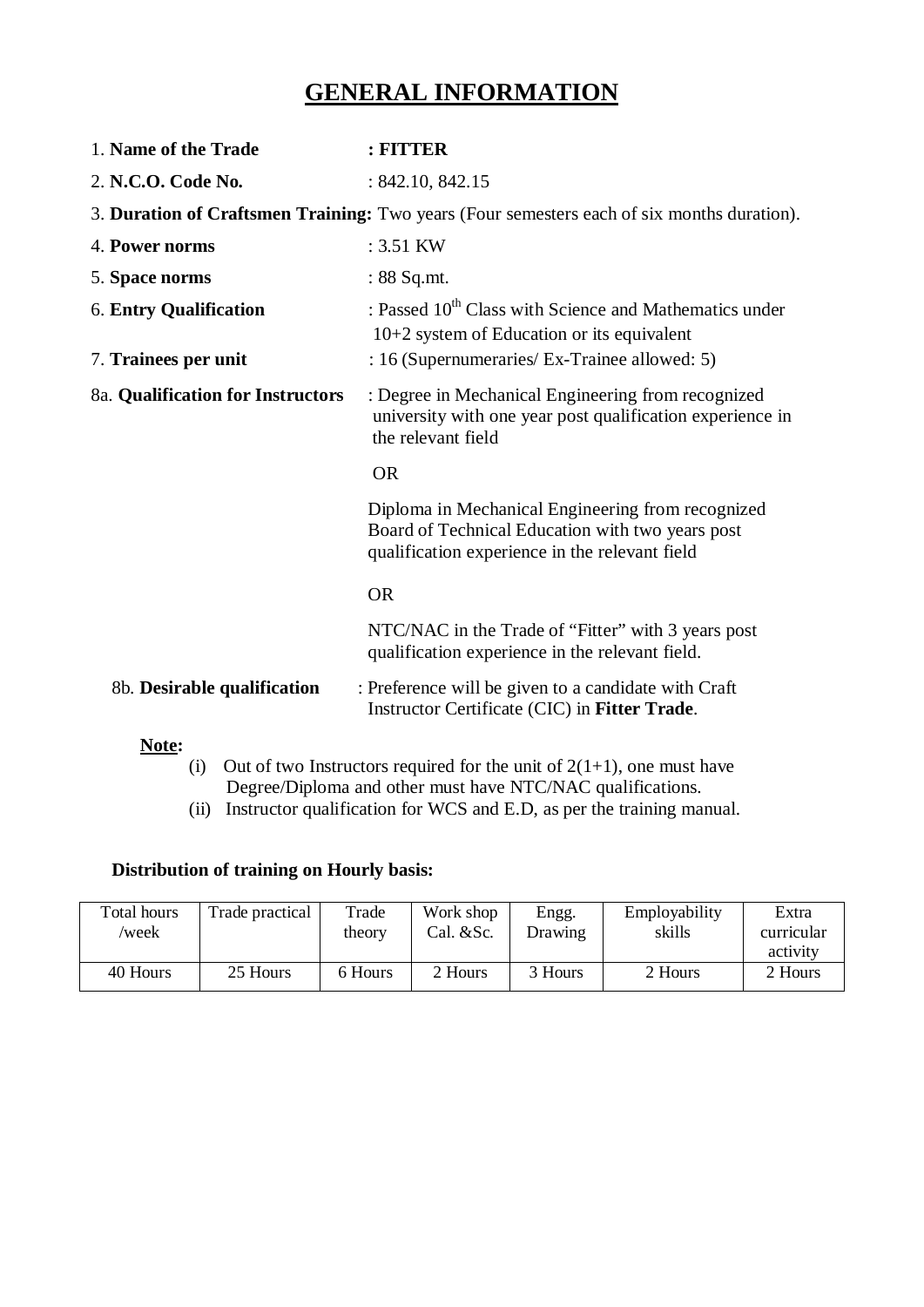#### **GENERAL INFORMATION**

| 1. Name of the Trade              | : FITTER                                                                                                                                                |
|-----------------------------------|---------------------------------------------------------------------------------------------------------------------------------------------------------|
| 2. N.C.O. Code No.                | : 842.10, 842.15                                                                                                                                        |
|                                   | 3. Duration of Craftsmen Training: Two years (Four semesters each of six months duration).                                                              |
| 4. Power norms                    | : 3.51 KW                                                                                                                                               |
| 5. Space norms                    | $: 88$ Sq.mt.                                                                                                                                           |
| <b>6. Entry Qualification</b>     | : Passed 10 <sup>th</sup> Class with Science and Mathematics under<br>10+2 system of Education or its equivalent                                        |
| 7. Trainees per unit              | : 16 (Supernumeraries/ Ex-Trainee allowed: 5)                                                                                                           |
| 8a. Qualification for Instructors | : Degree in Mechanical Engineering from recognized<br>university with one year post qualification experience in<br>the relevant field                   |
|                                   | <b>OR</b>                                                                                                                                               |
|                                   | Diploma in Mechanical Engineering from recognized<br>Board of Technical Education with two years post<br>qualification experience in the relevant field |
|                                   | <b>OR</b>                                                                                                                                               |
|                                   | NTC/NAC in the Trade of "Fitter" with 3 years post<br>qualification experience in the relevant field.                                                   |
| 8b. Desirable qualification       | : Preference will be given to a candidate with Craft<br>Instructor Certificate (CIC) in Fitter Trade.                                                   |
| Note:<br>(i)                      | Out of two Instructors required for the unit of $2(1+1)$ , one must have                                                                                |

- Degree/Diploma and other must have NTC/NAC qualifications.
- (ii) Instructor qualification for WCS and E.D, as per the training manual.

#### **Distribution of training on Hourly basis:**

| Total hours<br>/week | Trade practical | Trade<br>theory | Work shop<br>Cal. $&$ Sc. | Engg.<br>Drawing | Employability<br>skills | Extra<br>curricular<br>activity |
|----------------------|-----------------|-----------------|---------------------------|------------------|-------------------------|---------------------------------|
| 40 Hours             | 25 Hours        | 6 Hours         | 2 Hours                   | 3 Hours          | 2 Hours                 | 2 Hours                         |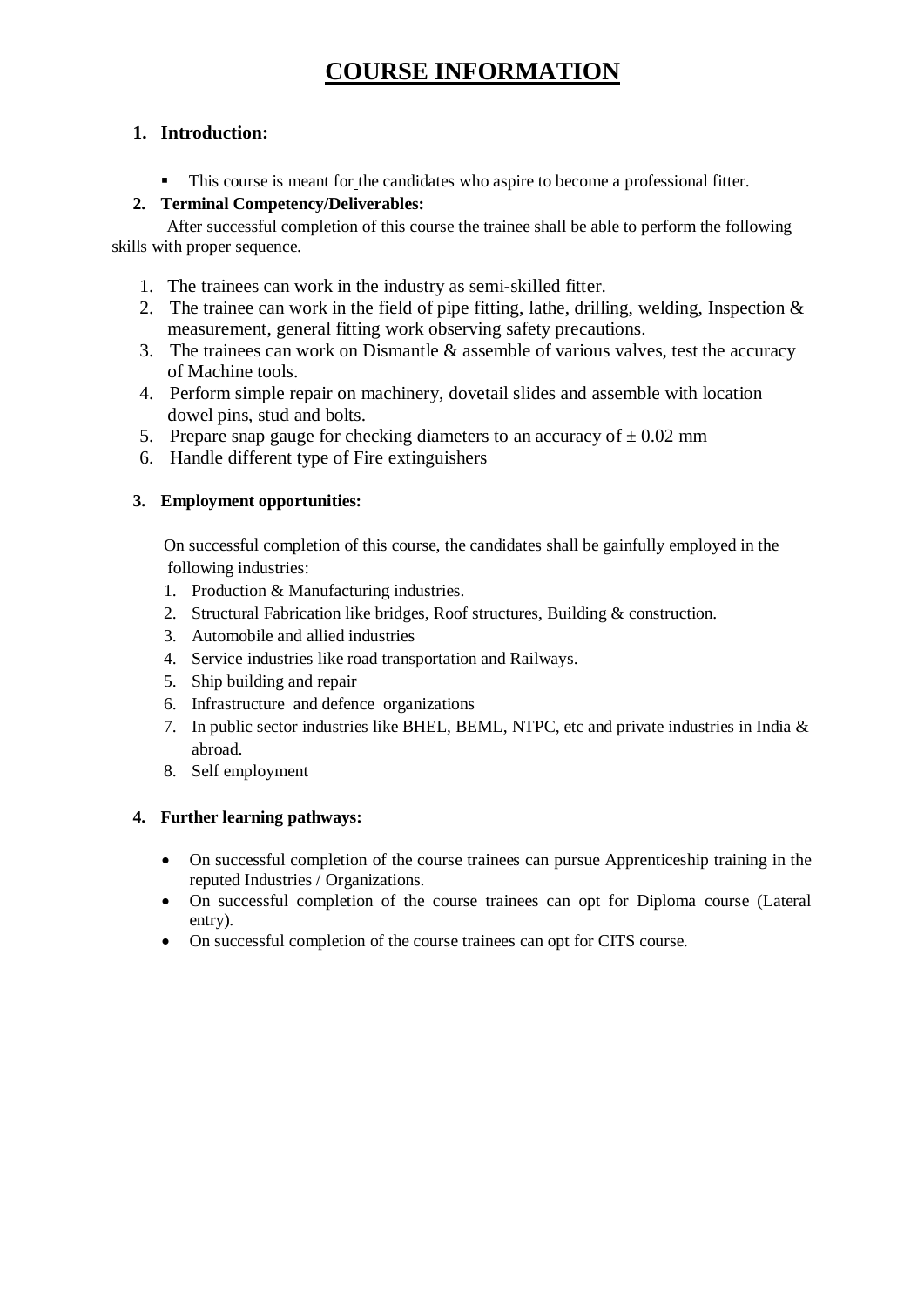### **COURSE INFORMATION**

#### **1. Introduction:**

§ This course is meant for the candidates who aspire to become a professional fitter.

#### **2. Terminal Competency/Deliverables:**

After successful completion of this course the trainee shall be able to perform the following skills with proper sequence*.* 

- 1. The trainees can work in the industry as semi-skilled fitter.
- 2. The trainee can work in the field of pipe fitting, lathe, drilling, welding, Inspection & measurement, general fitting work observing safety precautions.
- 3. The trainees can work on Dismantle & assemble of various valves, test the accuracy of Machine tools.
- 4. Perform simple repair on machinery, dovetail slides and assemble with location dowel pins, stud and bolts.
- 5. Prepare snap gauge for checking diameters to an accuracy of  $\pm 0.02$  mm
- 6. Handle different type of Fire extinguishers

#### **3. Employment opportunities:**

On successful completion of this course, the candidates shall be gainfully employed in the following industries:

- 1. Production & Manufacturing industries.
- 2. Structural Fabrication like bridges, Roof structures, Building & construction.
- 3. Automobile and allied industries
- 4. Service industries like road transportation and Railways.
- 5. Ship building and repair
- 6. Infrastructure and defence organizations
- 7. In public sector industries like BHEL, BEML, NTPC, etc and private industries in India & abroad.
- 8. Self employment

#### **4. Further learning pathways:**

- · On successful completion of the course trainees can pursue Apprenticeship training in the reputed Industries / Organizations.
- · On successful completion of the course trainees can opt for Diploma course (Lateral entry).
- On successful completion of the course trainees can opt for CITS course.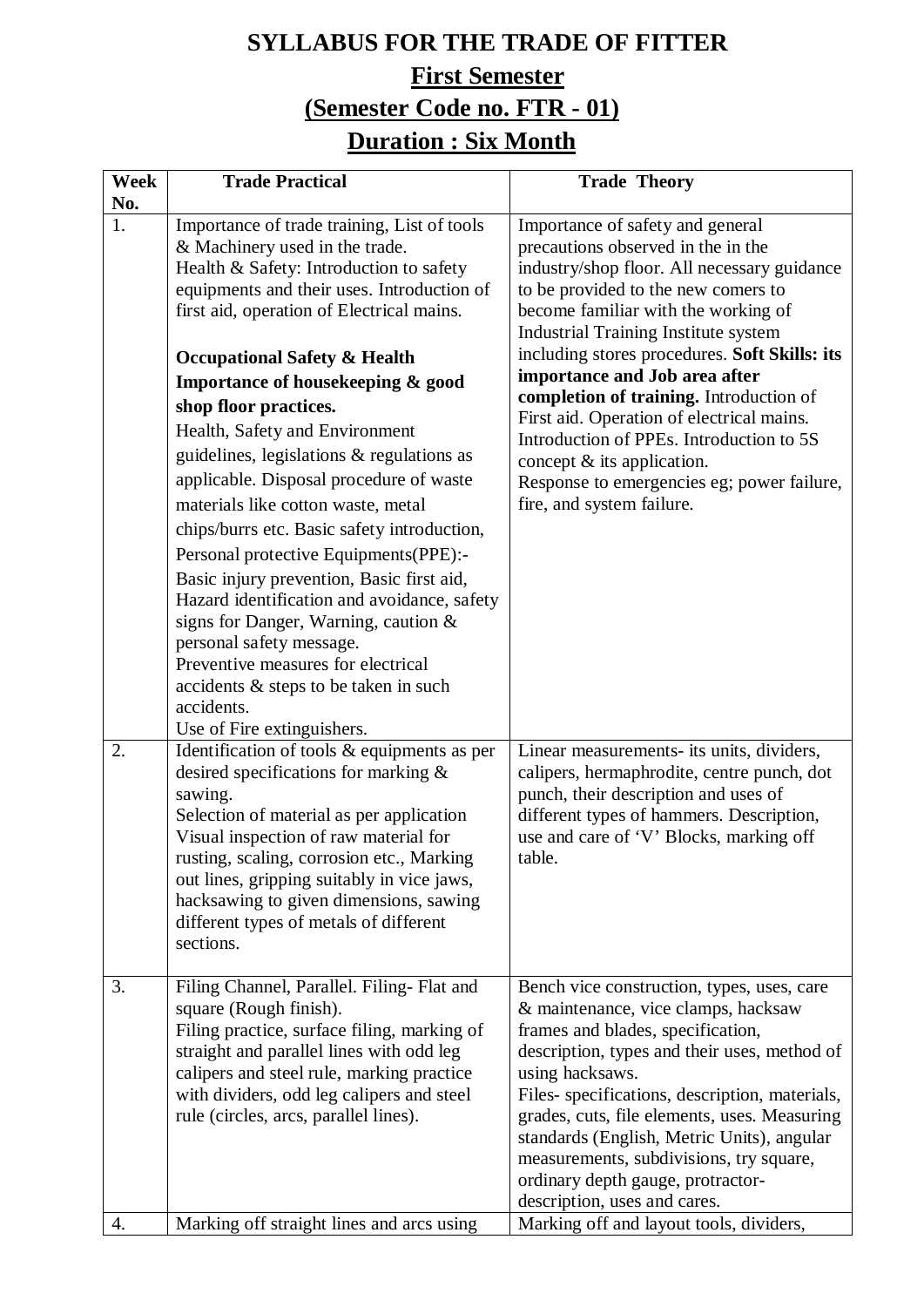# **SYLLABUS FOR THE TRADE OF FITTER First Semester (Semester Code no. FTR - 01) Duration : Six Month**

| Week | <b>Trade Practical</b>                                                                                                                                                                                                                                                                                                                                                                                                                                                                                                                                                                                                                                                                                                                                                                                                                                                          | <b>Trade Theory</b>                                                                                                                                                                                                                                                                                                                                                                                                                                                                                                                                                                  |
|------|---------------------------------------------------------------------------------------------------------------------------------------------------------------------------------------------------------------------------------------------------------------------------------------------------------------------------------------------------------------------------------------------------------------------------------------------------------------------------------------------------------------------------------------------------------------------------------------------------------------------------------------------------------------------------------------------------------------------------------------------------------------------------------------------------------------------------------------------------------------------------------|--------------------------------------------------------------------------------------------------------------------------------------------------------------------------------------------------------------------------------------------------------------------------------------------------------------------------------------------------------------------------------------------------------------------------------------------------------------------------------------------------------------------------------------------------------------------------------------|
| No.  |                                                                                                                                                                                                                                                                                                                                                                                                                                                                                                                                                                                                                                                                                                                                                                                                                                                                                 |                                                                                                                                                                                                                                                                                                                                                                                                                                                                                                                                                                                      |
| 1.   | Importance of trade training, List of tools<br>& Machinery used in the trade.<br>Health & Safety: Introduction to safety<br>equipments and their uses. Introduction of<br>first aid, operation of Electrical mains.<br><b>Occupational Safety &amp; Health</b><br>Importance of housekeeping & good<br>shop floor practices.<br>Health, Safety and Environment<br>guidelines, legislations & regulations as<br>applicable. Disposal procedure of waste<br>materials like cotton waste, metal<br>chips/burrs etc. Basic safety introduction,<br>Personal protective Equipments(PPE):-<br>Basic injury prevention, Basic first aid,<br>Hazard identification and avoidance, safety<br>signs for Danger, Warning, caution &<br>personal safety message.<br>Preventive measures for electrical<br>accidents & steps to be taken in such<br>accidents.<br>Use of Fire extinguishers. | Importance of safety and general<br>precautions observed in the in the<br>industry/shop floor. All necessary guidance<br>to be provided to the new comers to<br>become familiar with the working of<br><b>Industrial Training Institute system</b><br>including stores procedures. Soft Skills: its<br>importance and Job area after<br>completion of training. Introduction of<br>First aid. Operation of electrical mains.<br>Introduction of PPEs. Introduction to 5S<br>concept $\&$ its application.<br>Response to emergencies eg; power failure,<br>fire, and system failure. |
| 2.   | Identification of tools & equipments as per<br>desired specifications for marking &<br>sawing.<br>Selection of material as per application<br>Visual inspection of raw material for<br>rusting, scaling, corrosion etc., Marking<br>out lines, gripping suitably in vice jaws,<br>hacksawing to given dimensions, sawing<br>different types of metals of different<br>sections.                                                                                                                                                                                                                                                                                                                                                                                                                                                                                                 | Linear measurements- its units, dividers,<br>calipers, hermaphrodite, centre punch, dot<br>punch, their description and uses of<br>different types of hammers. Description,<br>use and care of 'V' Blocks, marking off<br>table.                                                                                                                                                                                                                                                                                                                                                     |
| 3.   | Filing Channel, Parallel. Filing- Flat and<br>square (Rough finish).<br>Filing practice, surface filing, marking of<br>straight and parallel lines with odd leg<br>calipers and steel rule, marking practice<br>with dividers, odd leg calipers and steel<br>rule (circles, arcs, parallel lines).                                                                                                                                                                                                                                                                                                                                                                                                                                                                                                                                                                              | Bench vice construction, types, uses, care<br>& maintenance, vice clamps, hacksaw<br>frames and blades, specification,<br>description, types and their uses, method of<br>using hacksaws.<br>Files- specifications, description, materials,<br>grades, cuts, file elements, uses. Measuring<br>standards (English, Metric Units), angular<br>measurements, subdivisions, try square,<br>ordinary depth gauge, protractor-<br>description, uses and cares.                                                                                                                            |
| 4.   | Marking off straight lines and arcs using                                                                                                                                                                                                                                                                                                                                                                                                                                                                                                                                                                                                                                                                                                                                                                                                                                       | Marking off and layout tools, dividers,                                                                                                                                                                                                                                                                                                                                                                                                                                                                                                                                              |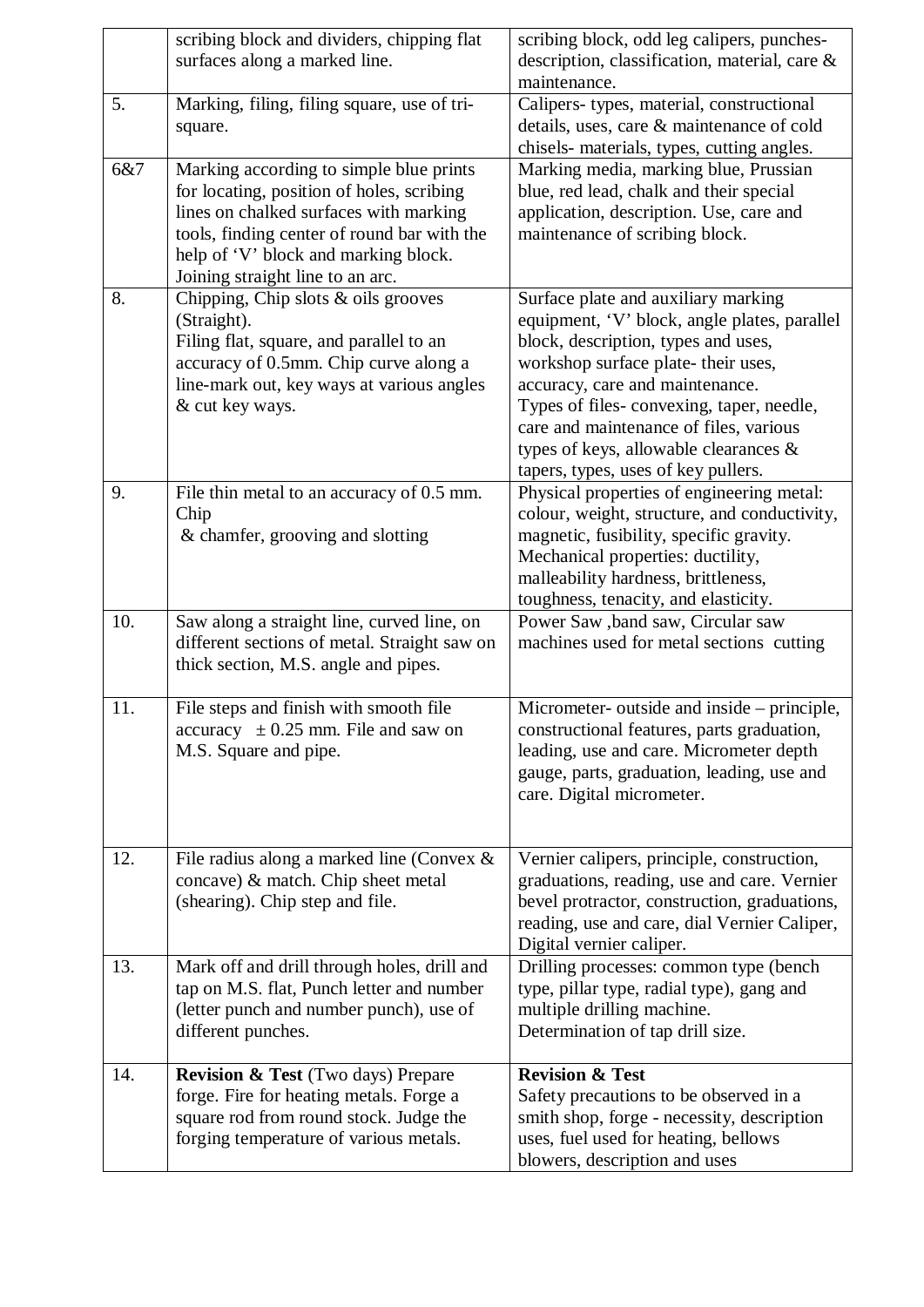|     | scribing block and dividers, chipping flat                                               | scribing block, odd leg calipers, punches-                                                |
|-----|------------------------------------------------------------------------------------------|-------------------------------------------------------------------------------------------|
|     | surfaces along a marked line.                                                            | description, classification, material, care &                                             |
|     |                                                                                          | maintenance.                                                                              |
| 5.  | Marking, filing, filing square, use of tri-                                              | Calipers-types, material, constructional                                                  |
|     | square.                                                                                  | details, uses, care & maintenance of cold                                                 |
|     |                                                                                          | chisels- materials, types, cutting angles.                                                |
| 6&7 | Marking according to simple blue prints                                                  | Marking media, marking blue, Prussian                                                     |
|     | for locating, position of holes, scribing                                                | blue, red lead, chalk and their special                                                   |
|     | lines on chalked surfaces with marking                                                   | application, description. Use, care and                                                   |
|     | tools, finding center of round bar with the                                              | maintenance of scribing block.                                                            |
|     | help of 'V' block and marking block.                                                     |                                                                                           |
|     | Joining straight line to an arc.                                                         |                                                                                           |
| 8.  | Chipping, Chip slots $&$ oils grooves                                                    | Surface plate and auxiliary marking                                                       |
|     | (Straight).                                                                              | equipment, 'V' block, angle plates, parallel                                              |
|     | Filing flat, square, and parallel to an                                                  | block, description, types and uses,                                                       |
|     | accuracy of 0.5mm. Chip curve along a                                                    | workshop surface plate- their uses,                                                       |
|     | line-mark out, key ways at various angles                                                | accuracy, care and maintenance.                                                           |
|     | & cut key ways.                                                                          | Types of files-convexing, taper, needle,                                                  |
|     |                                                                                          | care and maintenance of files, various                                                    |
|     |                                                                                          | types of keys, allowable clearances $\&$                                                  |
| 9.  |                                                                                          | tapers, types, uses of key pullers.                                                       |
|     | File thin metal to an accuracy of 0.5 mm.<br>Chip                                        | Physical properties of engineering metal:<br>colour, weight, structure, and conductivity, |
|     | & chamfer, grooving and slotting                                                         | magnetic, fusibility, specific gravity.                                                   |
|     |                                                                                          | Mechanical properties: ductility,                                                         |
|     |                                                                                          | malleability hardness, brittleness,                                                       |
|     |                                                                                          | toughness, tenacity, and elasticity.                                                      |
| 10. | Saw along a straight line, curved line, on                                               | Power Saw , band saw, Circular saw                                                        |
|     | different sections of metal. Straight saw on                                             | machines used for metal sections cutting                                                  |
|     | thick section, M.S. angle and pipes.                                                     |                                                                                           |
|     |                                                                                          |                                                                                           |
| 11. | File steps and finish with smooth file                                                   | Micrometer- outside and inside – principle,                                               |
|     | $\alpha$ accuracy $\pm 0.25$ mm. File and saw on                                         | constructional features, parts graduation,                                                |
|     | M.S. Square and pipe.                                                                    | leading, use and care. Micrometer depth                                                   |
|     |                                                                                          | gauge, parts, graduation, leading, use and                                                |
|     |                                                                                          | care. Digital micrometer.                                                                 |
|     |                                                                                          |                                                                                           |
|     |                                                                                          |                                                                                           |
| 12. | File radius along a marked line (Convex $\&$                                             | Vernier calipers, principle, construction,                                                |
|     | concave) & match. Chip sheet metal                                                       | graduations, reading, use and care. Vernier                                               |
|     | (shearing). Chip step and file.                                                          | bevel protractor, construction, graduations,                                              |
|     |                                                                                          | reading, use and care, dial Vernier Caliper,                                              |
| 13. |                                                                                          | Digital vernier caliper.                                                                  |
|     | Mark off and drill through holes, drill and<br>tap on M.S. flat, Punch letter and number | Drilling processes: common type (bench<br>type, pillar type, radial type), gang and       |
|     | (letter punch and number punch), use of                                                  | multiple drilling machine.                                                                |
|     | different punches.                                                                       | Determination of tap drill size.                                                          |
|     |                                                                                          |                                                                                           |
| 14. | <b>Revision &amp; Test</b> (Two days) Prepare                                            | <b>Revision &amp; Test</b>                                                                |
|     | forge. Fire for heating metals. Forge a                                                  | Safety precautions to be observed in a                                                    |
|     | square rod from round stock. Judge the                                                   | smith shop, forge - necessity, description                                                |
|     | forging temperature of various metals.                                                   | uses, fuel used for heating, bellows                                                      |
|     |                                                                                          | blowers, description and uses                                                             |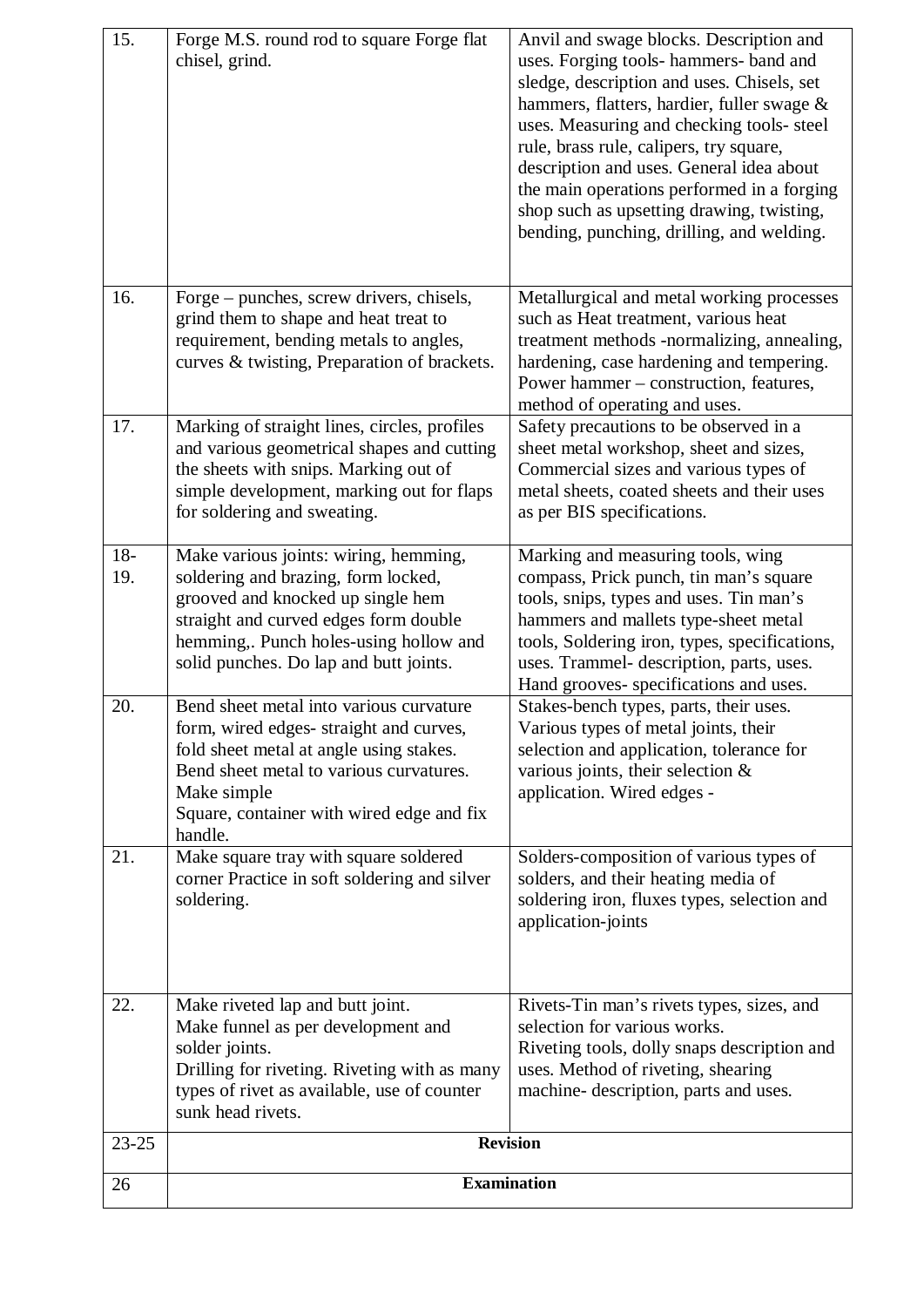| 15.          | Forge M.S. round rod to square Forge flat<br>chisel, grind.                                                                                                                                                                                    | Anvil and swage blocks. Description and<br>uses. Forging tools- hammers- band and<br>sledge, description and uses. Chisels, set<br>hammers, flatters, hardier, fuller swage &<br>uses. Measuring and checking tools- steel<br>rule, brass rule, calipers, try square,<br>description and uses. General idea about<br>the main operations performed in a forging<br>shop such as upsetting drawing, twisting,<br>bending, punching, drilling, and welding. |
|--------------|------------------------------------------------------------------------------------------------------------------------------------------------------------------------------------------------------------------------------------------------|-----------------------------------------------------------------------------------------------------------------------------------------------------------------------------------------------------------------------------------------------------------------------------------------------------------------------------------------------------------------------------------------------------------------------------------------------------------|
| 16.          | Forge – punches, screw drivers, chisels,<br>grind them to shape and heat treat to<br>requirement, bending metals to angles,<br>curves & twisting, Preparation of brackets.                                                                     | Metallurgical and metal working processes<br>such as Heat treatment, various heat<br>treatment methods -normalizing, annealing,<br>hardening, case hardening and tempering.<br>Power hammer – construction, features,<br>method of operating and uses.                                                                                                                                                                                                    |
| 17.          | Marking of straight lines, circles, profiles<br>and various geometrical shapes and cutting<br>the sheets with snips. Marking out of<br>simple development, marking out for flaps<br>for soldering and sweating.                                | Safety precautions to be observed in a<br>sheet metal workshop, sheet and sizes,<br>Commercial sizes and various types of<br>metal sheets, coated sheets and their uses<br>as per BIS specifications.                                                                                                                                                                                                                                                     |
| $18-$<br>19. | Make various joints: wiring, hemming,<br>soldering and brazing, form locked,<br>grooved and knocked up single hem<br>straight and curved edges form double<br>hemming,. Punch holes-using hollow and<br>solid punches. Do lap and butt joints. | Marking and measuring tools, wing<br>compass, Prick punch, tin man's square<br>tools, snips, types and uses. Tin man's<br>hammers and mallets type-sheet metal<br>tools, Soldering iron, types, specifications,<br>uses. Trammel- description, parts, uses.<br>Hand grooves- specifications and uses.                                                                                                                                                     |
| 20.          | Bend sheet metal into various curvature<br>form, wired edges-straight and curves,<br>fold sheet metal at angle using stakes.<br>Bend sheet metal to various curvatures.<br>Make simple<br>Square, container with wired edge and fix<br>handle. | Stakes-bench types, parts, their uses.<br>Various types of metal joints, their<br>selection and application, tolerance for<br>various joints, their selection $&$<br>application. Wired edges -                                                                                                                                                                                                                                                           |
| 21.          | Make square tray with square soldered<br>corner Practice in soft soldering and silver<br>soldering.                                                                                                                                            | Solders-composition of various types of<br>solders, and their heating media of<br>soldering iron, fluxes types, selection and<br>application-joints                                                                                                                                                                                                                                                                                                       |
| 22.          | Make riveted lap and butt joint.<br>Make funnel as per development and<br>solder joints.<br>Drilling for riveting. Riveting with as many<br>types of rivet as available, use of counter<br>sunk head rivets.                                   | Rivets-Tin man's rivets types, sizes, and<br>selection for various works.<br>Riveting tools, dolly snaps description and<br>uses. Method of riveting, shearing<br>machine-description, parts and uses.                                                                                                                                                                                                                                                    |
| $23 - 25$    |                                                                                                                                                                                                                                                | <b>Revision</b>                                                                                                                                                                                                                                                                                                                                                                                                                                           |
| 26           | <b>Examination</b>                                                                                                                                                                                                                             |                                                                                                                                                                                                                                                                                                                                                                                                                                                           |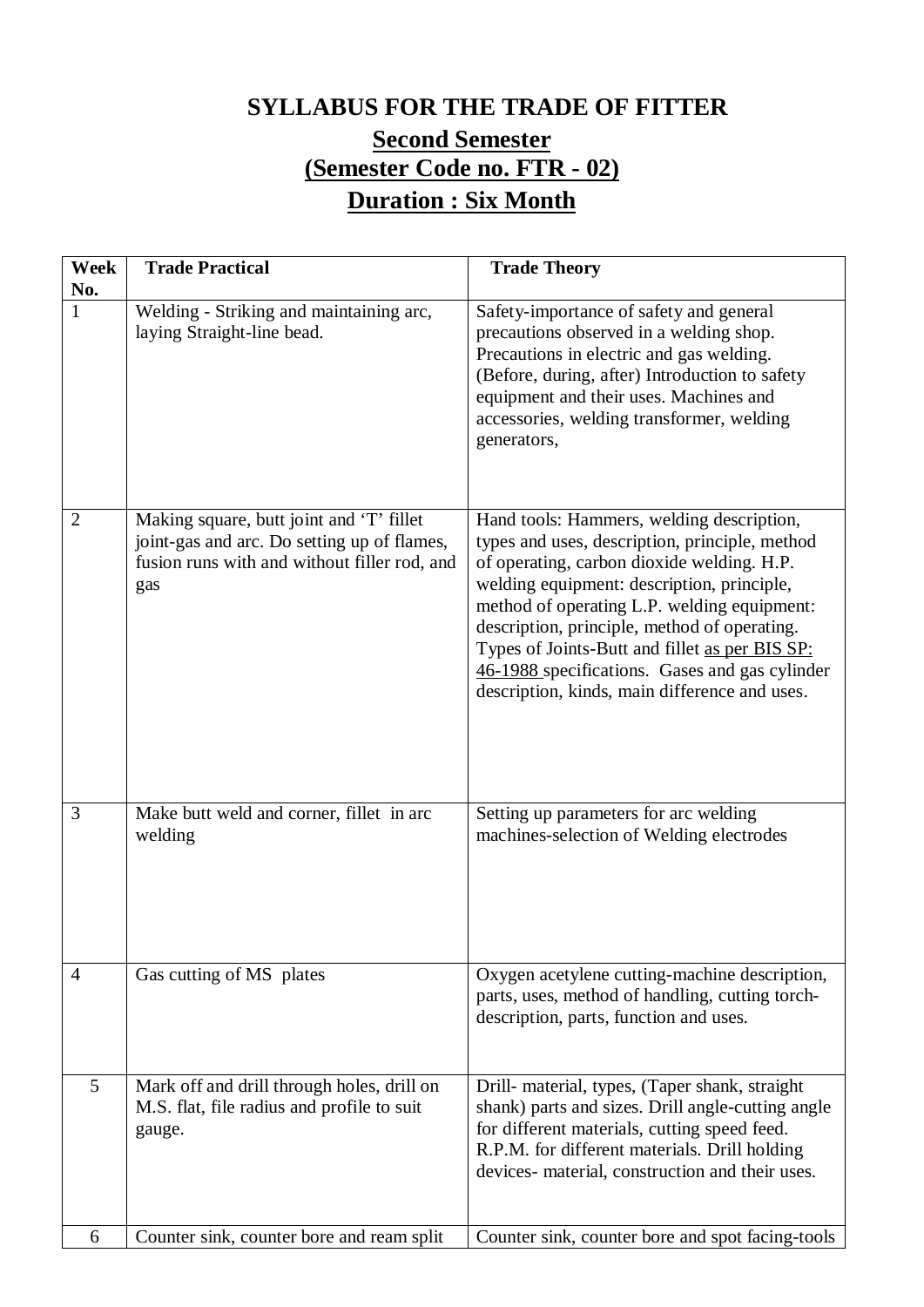# **SYLLABUS FOR THE TRADE OF FITTER Second Semester (Semester Code no. FTR - 02) Duration : Six Month**

| Week<br>No.    | <b>Trade Practical</b>                                                                                                                         | <b>Trade Theory</b>                                                                                                                                                                                                                                                                                                                                                                                                                         |
|----------------|------------------------------------------------------------------------------------------------------------------------------------------------|---------------------------------------------------------------------------------------------------------------------------------------------------------------------------------------------------------------------------------------------------------------------------------------------------------------------------------------------------------------------------------------------------------------------------------------------|
| $\mathbf{1}$   | Welding - Striking and maintaining arc,<br>laying Straight-line bead.                                                                          | Safety-importance of safety and general<br>precautions observed in a welding shop.<br>Precautions in electric and gas welding.<br>(Before, during, after) Introduction to safety<br>equipment and their uses. Machines and<br>accessories, welding transformer, welding<br>generators,                                                                                                                                                      |
| $\overline{2}$ | Making square, butt joint and 'T' fillet<br>joint-gas and arc. Do setting up of flames,<br>fusion runs with and without filler rod, and<br>gas | Hand tools: Hammers, welding description,<br>types and uses, description, principle, method<br>of operating, carbon dioxide welding. H.P.<br>welding equipment: description, principle,<br>method of operating L.P. welding equipment:<br>description, principle, method of operating.<br>Types of Joints-Butt and fillet as per BIS SP:<br>46-1988 specifications. Gases and gas cylinder<br>description, kinds, main difference and uses. |
| 3              | Make butt weld and corner, fillet in arc<br>welding                                                                                            | Setting up parameters for arc welding<br>machines-selection of Welding electrodes                                                                                                                                                                                                                                                                                                                                                           |
| $\overline{4}$ | Gas cutting of MS plates                                                                                                                       | Oxygen acetylene cutting-machine description,<br>parts, uses, method of handling, cutting torch-<br>description, parts, function and uses.                                                                                                                                                                                                                                                                                                  |
| 5              | Mark off and drill through holes, drill on<br>M.S. flat, file radius and profile to suit<br>gauge.                                             | Drill- material, types, (Taper shank, straight<br>shank) parts and sizes. Drill angle-cutting angle<br>for different materials, cutting speed feed.<br>R.P.M. for different materials. Drill holding<br>devices- material, construction and their uses.                                                                                                                                                                                     |
| 6              | Counter sink, counter bore and ream split                                                                                                      | Counter sink, counter bore and spot facing-tools                                                                                                                                                                                                                                                                                                                                                                                            |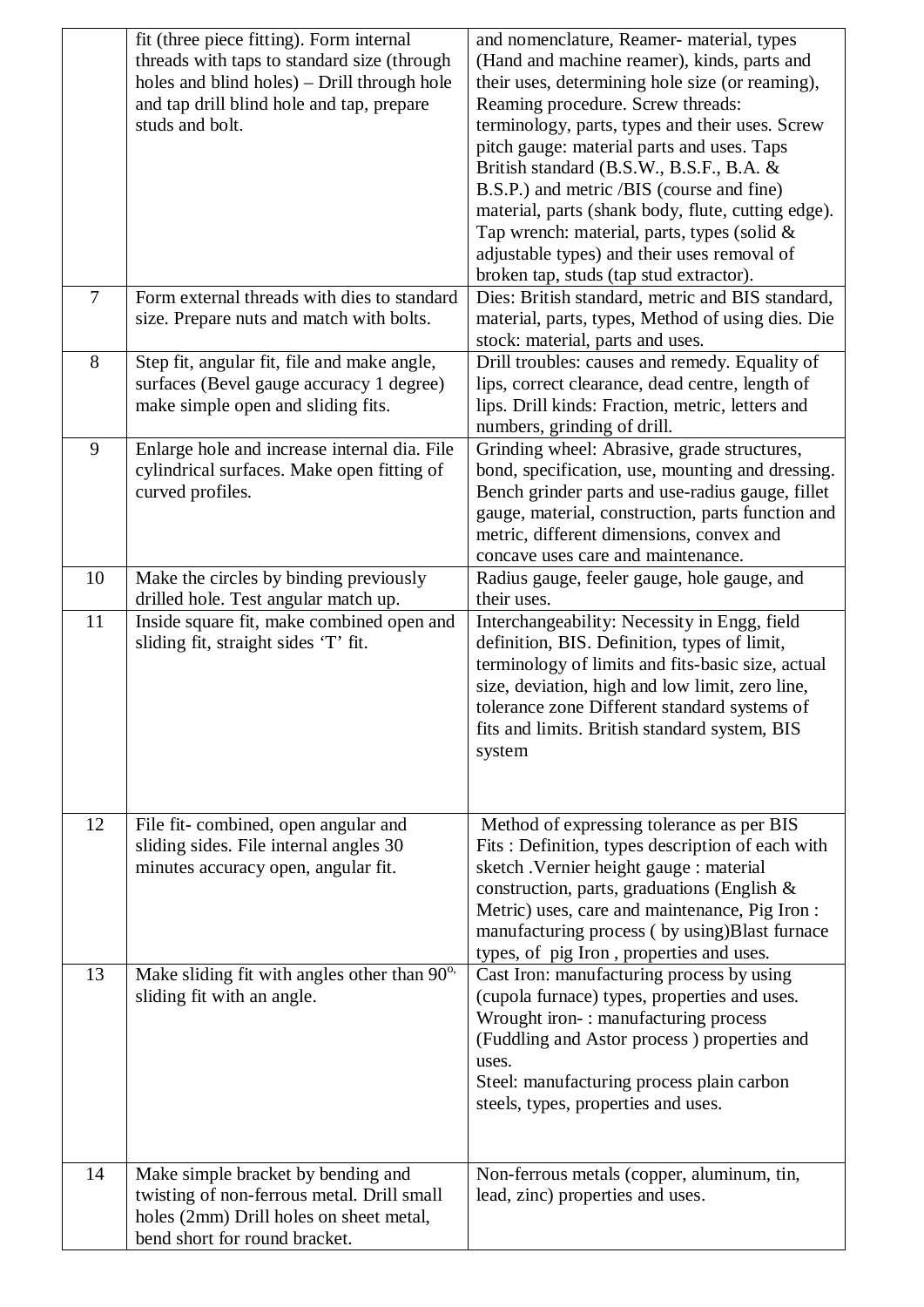|                | fit (three piece fitting). Form internal<br>threads with taps to standard size (through<br>holes and blind holes) – Drill through hole<br>and tap drill blind hole and tap, prepare<br>studs and bolt. | and nomenclature, Reamer- material, types<br>(Hand and machine reamer), kinds, parts and<br>their uses, determining hole size (or reaming),<br>Reaming procedure. Screw threads:<br>terminology, parts, types and their uses. Screw<br>pitch gauge: material parts and uses. Taps<br>British standard (B.S.W., B.S.F., B.A. &<br>B.S.P.) and metric /BIS (course and fine)<br>material, parts (shank body, flute, cutting edge).<br>Tap wrench: material, parts, types (solid $&$<br>adjustable types) and their uses removal of<br>broken tap, studs (tap stud extractor). |
|----------------|--------------------------------------------------------------------------------------------------------------------------------------------------------------------------------------------------------|-----------------------------------------------------------------------------------------------------------------------------------------------------------------------------------------------------------------------------------------------------------------------------------------------------------------------------------------------------------------------------------------------------------------------------------------------------------------------------------------------------------------------------------------------------------------------------|
| $\overline{7}$ | Form external threads with dies to standard<br>size. Prepare nuts and match with bolts.                                                                                                                | Dies: British standard, metric and BIS standard,<br>material, parts, types, Method of using dies. Die<br>stock: material, parts and uses.                                                                                                                                                                                                                                                                                                                                                                                                                                   |
| 8              | Step fit, angular fit, file and make angle,<br>surfaces (Bevel gauge accuracy 1 degree)<br>make simple open and sliding fits.                                                                          | Drill troubles: causes and remedy. Equality of<br>lips, correct clearance, dead centre, length of<br>lips. Drill kinds: Fraction, metric, letters and<br>numbers, grinding of drill.                                                                                                                                                                                                                                                                                                                                                                                        |
| 9              | Enlarge hole and increase internal dia. File<br>cylindrical surfaces. Make open fitting of<br>curved profiles.                                                                                         | Grinding wheel: Abrasive, grade structures,<br>bond, specification, use, mounting and dressing.<br>Bench grinder parts and use-radius gauge, fillet<br>gauge, material, construction, parts function and<br>metric, different dimensions, convex and<br>concave uses care and maintenance.                                                                                                                                                                                                                                                                                  |
| 10             | Make the circles by binding previously<br>drilled hole. Test angular match up.                                                                                                                         | Radius gauge, feeler gauge, hole gauge, and<br>their uses.                                                                                                                                                                                                                                                                                                                                                                                                                                                                                                                  |
| 11             | Inside square fit, make combined open and<br>sliding fit, straight sides 'T' fit.                                                                                                                      | Interchangeability: Necessity in Engg, field<br>definition, BIS. Definition, types of limit,<br>terminology of limits and fits-basic size, actual<br>size, deviation, high and low limit, zero line,<br>tolerance zone Different standard systems of<br>fits and limits. British standard system, BIS<br>system                                                                                                                                                                                                                                                             |
| 12             | File fit-combined, open angular and<br>sliding sides. File internal angles 30<br>minutes accuracy open, angular fit.                                                                                   | Method of expressing tolerance as per BIS<br>Fits: Definition, types description of each with<br>sketch . Vernier height gauge : material<br>construction, parts, graduations (English &<br>Metric) uses, care and maintenance, Pig Iron:<br>manufacturing process (by using)Blast furnace<br>types, of pig Iron, properties and uses.                                                                                                                                                                                                                                      |
| 13             | Make sliding fit with angles other than 90°.<br>sliding fit with an angle.                                                                                                                             | Cast Iron: manufacturing process by using<br>(cupola furnace) types, properties and uses.<br>Wrought iron-: manufacturing process<br>(Fuddling and Astor process) properties and<br>uses.<br>Steel: manufacturing process plain carbon<br>steels, types, properties and uses.                                                                                                                                                                                                                                                                                               |
| 14             | Make simple bracket by bending and<br>twisting of non-ferrous metal. Drill small<br>holes (2mm) Drill holes on sheet metal,<br>bend short for round bracket.                                           | Non-ferrous metals (copper, aluminum, tin,<br>lead, zinc) properties and uses.                                                                                                                                                                                                                                                                                                                                                                                                                                                                                              |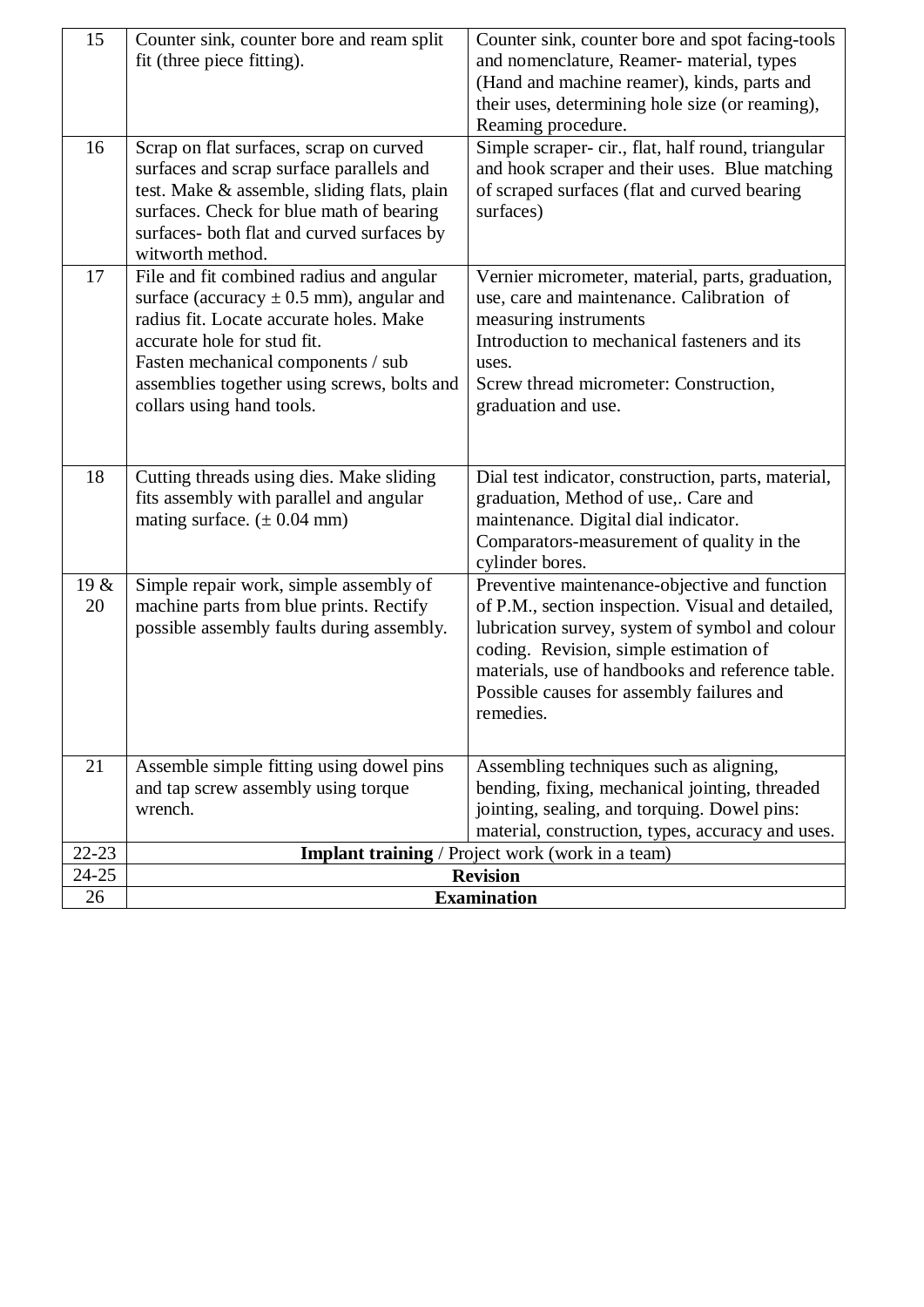| 15              | Counter sink, counter bore and ream split                                         | Counter sink, counter bore and spot facing-tools    |
|-----------------|-----------------------------------------------------------------------------------|-----------------------------------------------------|
|                 | fit (three piece fitting).                                                        | and nomenclature, Reamer- material, types           |
|                 |                                                                                   | (Hand and machine reamer), kinds, parts and         |
|                 |                                                                                   | their uses, determining hole size (or reaming),     |
|                 |                                                                                   | Reaming procedure.                                  |
| 16              | Scrap on flat surfaces, scrap on curved                                           | Simple scraper- cir., flat, half round, triangular  |
|                 | surfaces and scrap surface parallels and                                          | and hook scraper and their uses. Blue matching      |
|                 | test. Make & assemble, sliding flats, plain                                       | of scraped surfaces (flat and curved bearing        |
|                 | surfaces. Check for blue math of bearing                                          | surfaces)                                           |
|                 | surfaces- both flat and curved surfaces by                                        |                                                     |
|                 | witworth method.                                                                  |                                                     |
| 17              | File and fit combined radius and angular                                          | Vernier micrometer, material, parts, graduation,    |
|                 | surface (accuracy $\pm$ 0.5 mm), angular and                                      | use, care and maintenance. Calibration of           |
|                 | radius fit. Locate accurate holes. Make                                           | measuring instruments                               |
|                 | accurate hole for stud fit.                                                       | Introduction to mechanical fasteners and its        |
|                 | Fasten mechanical components / sub<br>assemblies together using screws, bolts and | uses.<br>Screw thread micrometer: Construction,     |
|                 | collars using hand tools.                                                         | graduation and use.                                 |
|                 |                                                                                   |                                                     |
|                 |                                                                                   |                                                     |
| 18              | Cutting threads using dies. Make sliding                                          | Dial test indicator, construction, parts, material, |
|                 | fits assembly with parallel and angular                                           | graduation, Method of use,. Care and                |
|                 | mating surface. $(\pm 0.04 \text{ mm})$                                           | maintenance. Digital dial indicator.                |
|                 |                                                                                   | Comparators-measurement of quality in the           |
|                 |                                                                                   | cylinder bores.                                     |
| 19 &            | Simple repair work, simple assembly of                                            | Preventive maintenance-objective and function       |
| 20              | machine parts from blue prints. Rectify                                           | of P.M., section inspection. Visual and detailed,   |
|                 | possible assembly faults during assembly.                                         | lubrication survey, system of symbol and colour     |
|                 |                                                                                   | coding. Revision, simple estimation of              |
|                 |                                                                                   | materials, use of handbooks and reference table.    |
|                 |                                                                                   | Possible causes for assembly failures and           |
|                 |                                                                                   | remedies.                                           |
|                 |                                                                                   |                                                     |
| 21              | Assemble simple fitting using dowel pins                                          | Assembling techniques such as aligning,             |
|                 | and tap screw assembly using torque                                               | bending, fixing, mechanical jointing, threaded      |
|                 | wrench.                                                                           | jointing, sealing, and torquing. Dowel pins:        |
|                 |                                                                                   | material, construction, types, accuracy and uses.   |
| $22 - 23$       |                                                                                   | Implant training / Project work (work in a team)    |
| $24 - 25$<br>26 | <b>Revision</b><br><b>Examination</b>                                             |                                                     |
|                 |                                                                                   |                                                     |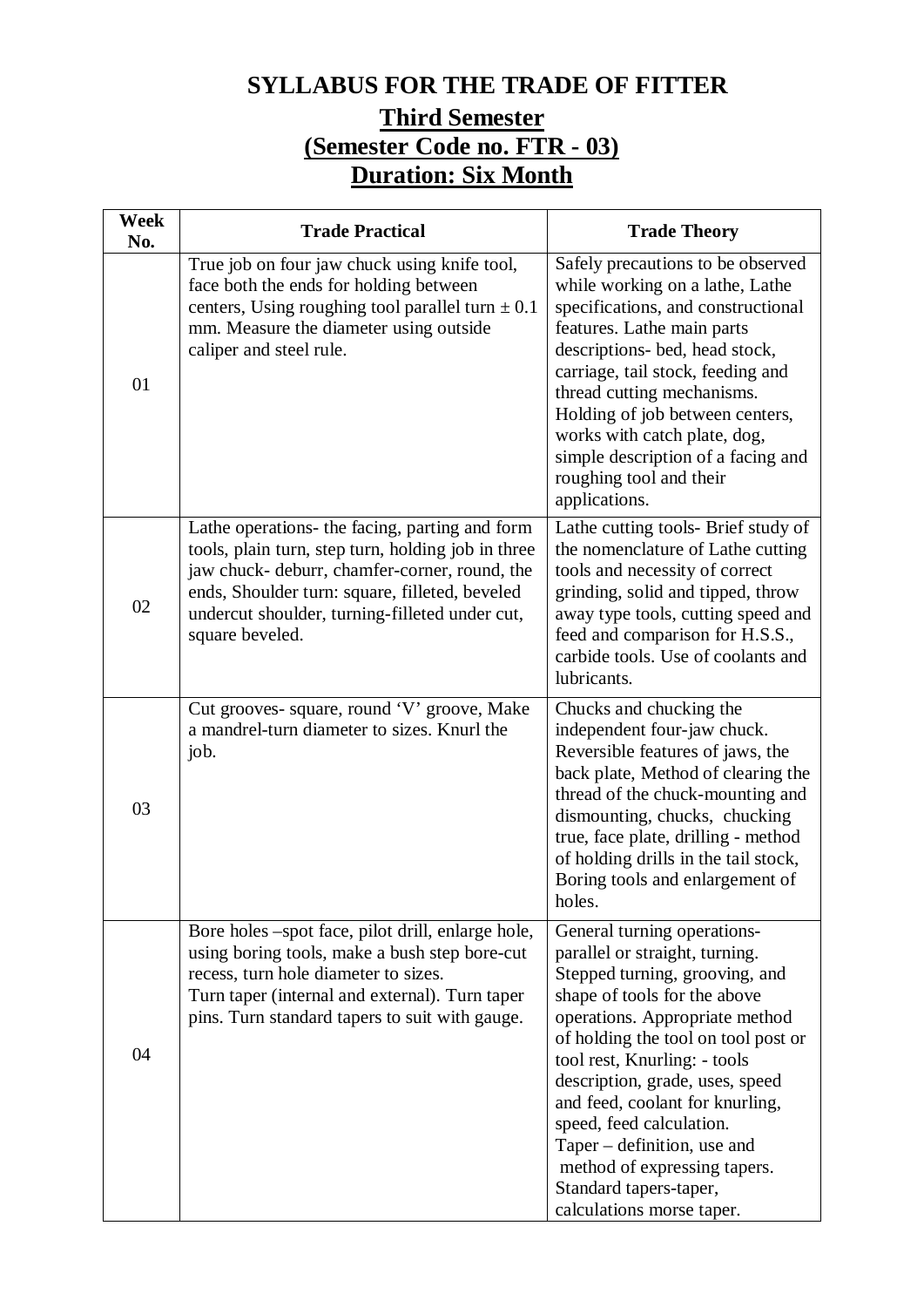### **SYLLABUS FOR THE TRADE OF FITTER**

### **Third Semester (Semester Code no. FTR - 03) Duration: Six Month**

| Week<br>No. | <b>Trade Practical</b>                                                                                                                                                                                                                                                       | <b>Trade Theory</b>                                                                                                                                                                                                                                                                                                                                                                                                                                              |
|-------------|------------------------------------------------------------------------------------------------------------------------------------------------------------------------------------------------------------------------------------------------------------------------------|------------------------------------------------------------------------------------------------------------------------------------------------------------------------------------------------------------------------------------------------------------------------------------------------------------------------------------------------------------------------------------------------------------------------------------------------------------------|
| 01          | True job on four jaw chuck using knife tool,<br>face both the ends for holding between<br>centers, Using roughing tool parallel turn $\pm$ 0.1<br>mm. Measure the diameter using outside<br>caliper and steel rule.                                                          | Safely precautions to be observed<br>while working on a lathe, Lathe<br>specifications, and constructional<br>features. Lathe main parts<br>descriptions- bed, head stock,<br>carriage, tail stock, feeding and<br>thread cutting mechanisms.<br>Holding of job between centers,<br>works with catch plate, dog,<br>simple description of a facing and<br>roughing tool and their<br>applications.                                                               |
| 02          | Lathe operations- the facing, parting and form<br>tools, plain turn, step turn, holding job in three<br>jaw chuck- deburr, chamfer-corner, round, the<br>ends, Shoulder turn: square, filleted, beveled<br>undercut shoulder, turning-filleted under cut,<br>square beveled. | Lathe cutting tools- Brief study of<br>the nomenclature of Lathe cutting<br>tools and necessity of correct<br>grinding, solid and tipped, throw<br>away type tools, cutting speed and<br>feed and comparison for H.S.S.,<br>carbide tools. Use of coolants and<br>lubricants.                                                                                                                                                                                    |
| 03          | Cut grooves- square, round 'V' groove, Make<br>a mandrel-turn diameter to sizes. Knurl the<br>job.                                                                                                                                                                           | Chucks and chucking the<br>independent four-jaw chuck.<br>Reversible features of jaws, the<br>back plate, Method of clearing the<br>thread of the chuck-mounting and<br>dismounting, chucks, chucking<br>true, face plate, drilling - method<br>of holding drills in the tail stock,<br>Boring tools and enlargement of<br>holes                                                                                                                                 |
| 04          | Bore holes –spot face, pilot drill, enlarge hole,<br>using boring tools, make a bush step bore-cut<br>recess, turn hole diameter to sizes.<br>Turn taper (internal and external). Turn taper<br>pins. Turn standard tapers to suit with gauge.                               | General turning operations-<br>parallel or straight, turning.<br>Stepped turning, grooving, and<br>shape of tools for the above<br>operations. Appropriate method<br>of holding the tool on tool post or<br>tool rest, Knurling: - tools<br>description, grade, uses, speed<br>and feed, coolant for knurling,<br>speed, feed calculation.<br>Taper – definition, use and<br>method of expressing tapers.<br>Standard tapers-taper,<br>calculations morse taper. |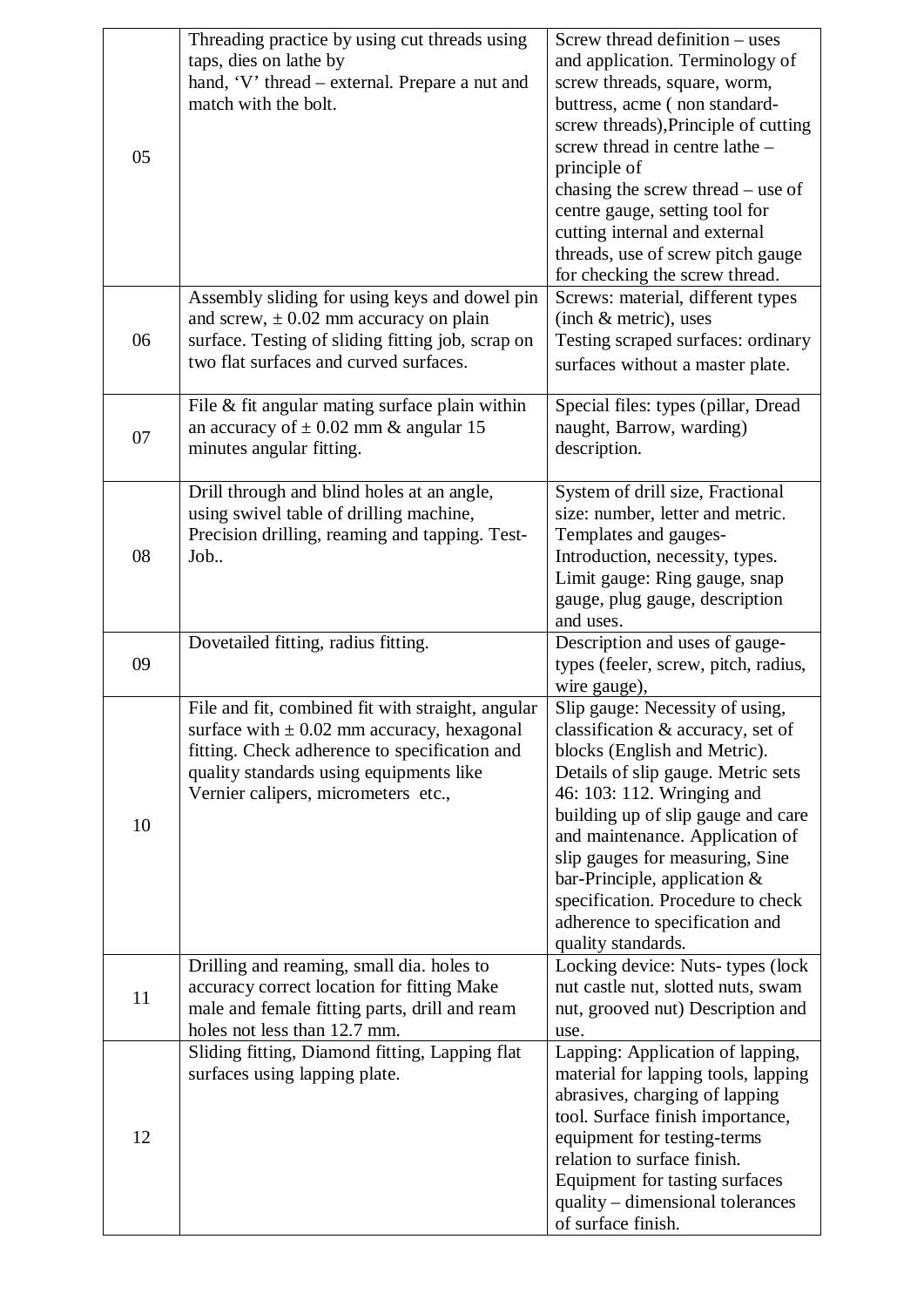|    | Threading practice by using cut threads using     | Screw thread definition – uses                         |
|----|---------------------------------------------------|--------------------------------------------------------|
|    | taps, dies on lathe by                            | and application. Terminology of                        |
|    | hand, 'V' thread – external. Prepare a nut and    | screw threads, square, worm,                           |
|    | match with the bolt.                              | buttress, acme (non standard-                          |
|    |                                                   | screw threads), Principle of cutting                   |
|    |                                                   | screw thread in centre lathe -                         |
| 05 |                                                   | principle of                                           |
|    |                                                   | chasing the screw thread – use of                      |
|    |                                                   | centre gauge, setting tool for                         |
|    |                                                   | cutting internal and external                          |
|    |                                                   | threads, use of screw pitch gauge                      |
|    |                                                   | for checking the screw thread.                         |
|    | Assembly sliding for using keys and dowel pin     | Screws: material, different types                      |
|    | and screw, $\pm$ 0.02 mm accuracy on plain        | (inch & metric), uses                                  |
| 06 | surface. Testing of sliding fitting job, scrap on | Testing scraped surfaces: ordinary                     |
|    | two flat surfaces and curved surfaces.            | surfaces without a master plate.                       |
|    |                                                   |                                                        |
|    | File $&$ fit angular mating surface plain within  | Special files: types (pillar, Dread                    |
|    | an accuracy of $\pm$ 0.02 mm & angular 15         | naught, Barrow, warding)                               |
| 07 | minutes angular fitting.                          | description.                                           |
|    |                                                   |                                                        |
|    | Drill through and blind holes at an angle,        | System of drill size, Fractional                       |
|    | using swivel table of drilling machine,           | size: number, letter and metric.                       |
|    | Precision drilling, reaming and tapping. Test-    | Templates and gauges-                                  |
| 08 | Job                                               | Introduction, necessity, types.                        |
|    |                                                   | Limit gauge: Ring gauge, snap                          |
|    |                                                   | gauge, plug gauge, description                         |
|    |                                                   | and uses.                                              |
|    |                                                   |                                                        |
|    | Dovetailed fitting, radius fitting.               | Description and uses of gauge-                         |
| 09 |                                                   | types (feeler, screw, pitch, radius,                   |
|    |                                                   | wire gauge),                                           |
|    | File and fit, combined fit with straight, angular | Slip gauge: Necessity of using,                        |
|    | surface with $\pm$ 0.02 mm accuracy, hexagonal    | classification & accuracy, set of                      |
|    | fitting. Check adherence to specification and     | blocks (English and Metric).                           |
|    | quality standards using equipments like           | Details of slip gauge. Metric sets                     |
|    | Vernier calipers, micrometers etc.,               | 46: 103: 112. Wringing and                             |
|    |                                                   | building up of slip gauge and care                     |
| 10 |                                                   | and maintenance. Application of                        |
|    |                                                   | slip gauges for measuring, Sine                        |
|    |                                                   | bar-Principle, application $&$                         |
|    |                                                   | specification. Procedure to check                      |
|    |                                                   | adherence to specification and                         |
|    |                                                   | quality standards.                                     |
|    | Drilling and reaming, small dia. holes to         | Locking device: Nuts-types (lock                       |
|    | accuracy correct location for fitting Make        | nut castle nut, slotted nuts, swam                     |
| 11 | male and female fitting parts, drill and ream     | nut, grooved nut) Description and                      |
|    | holes not less than 12.7 mm.                      | use.                                                   |
|    | Sliding fitting, Diamond fitting, Lapping flat    | Lapping: Application of lapping,                       |
|    | surfaces using lapping plate.                     | material for lapping tools, lapping                    |
|    |                                                   | abrasives, charging of lapping                         |
|    |                                                   | tool. Surface finish importance,                       |
| 12 |                                                   | equipment for testing-terms                            |
|    |                                                   | relation to surface finish.                            |
|    |                                                   | Equipment for tasting surfaces                         |
|    |                                                   | quality – dimensional tolerances<br>of surface finish. |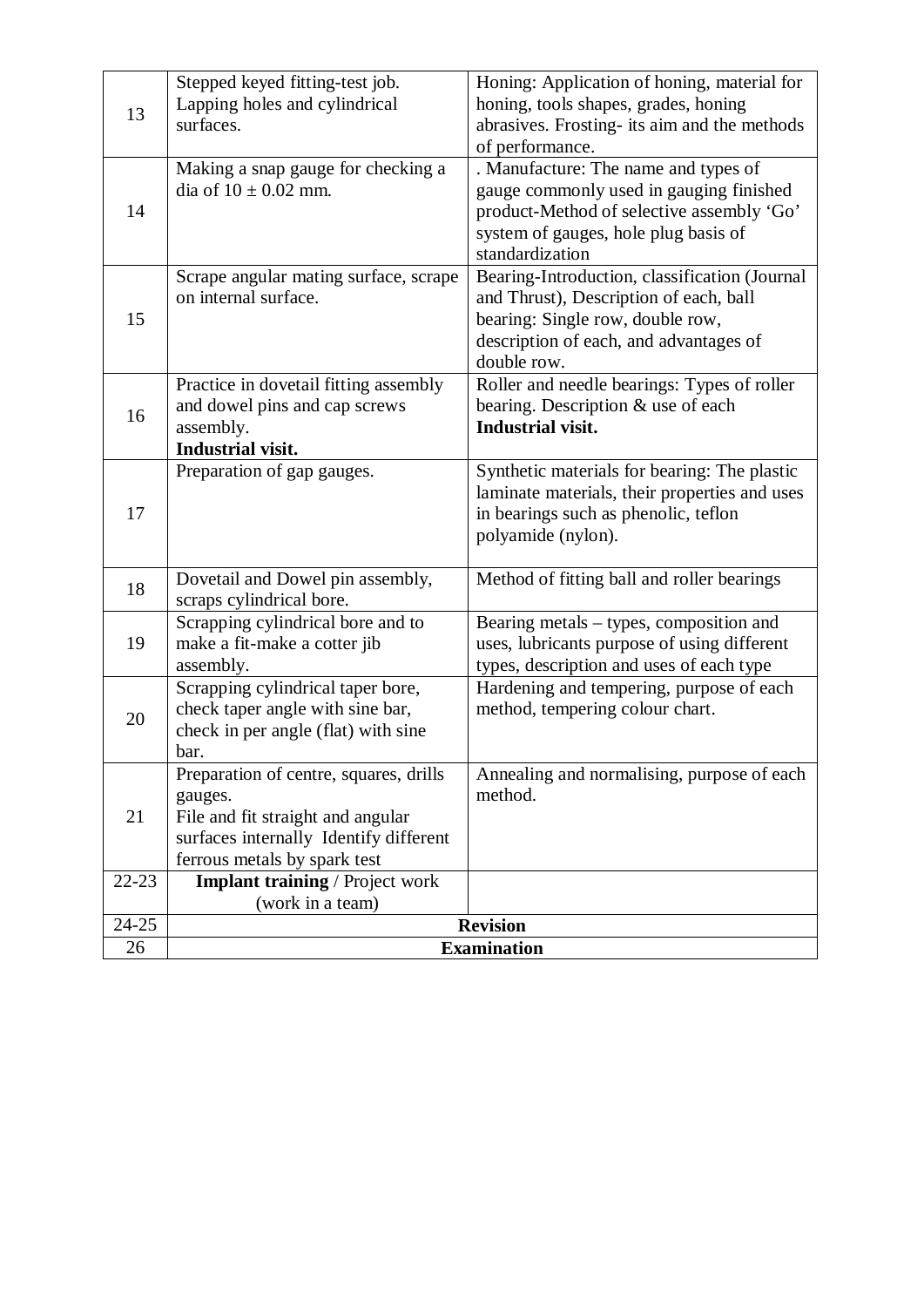| 13        | Stepped keyed fitting-test job.<br>Lapping holes and cylindrical<br>surfaces.                                                                                    | Honing: Application of honing, material for<br>honing, tools shapes, grades, honing<br>abrasives. Frosting- its aim and the methods<br>of performance.                                  |  |
|-----------|------------------------------------------------------------------------------------------------------------------------------------------------------------------|-----------------------------------------------------------------------------------------------------------------------------------------------------------------------------------------|--|
| 14        | Making a snap gauge for checking a<br>dia of $10 \pm 0.02$ mm.                                                                                                   | . Manufacture: The name and types of<br>gauge commonly used in gauging finished<br>product-Method of selective assembly 'Go'<br>system of gauges, hole plug basis of<br>standardization |  |
| 15        | Scrape angular mating surface, scrape<br>on internal surface.                                                                                                    | Bearing-Introduction, classification (Journal<br>and Thrust), Description of each, ball<br>bearing: Single row, double row,<br>description of each, and advantages of<br>double row.    |  |
| 16        | Practice in dovetail fitting assembly<br>and dowel pins and cap screws<br>assembly.<br>Industrial visit.                                                         | Roller and needle bearings: Types of roller<br>bearing. Description & use of each<br><b>Industrial visit.</b>                                                                           |  |
| 17        | Preparation of gap gauges.                                                                                                                                       | Synthetic materials for bearing: The plastic<br>laminate materials, their properties and uses<br>in bearings such as phenolic, teflon<br>polyamide (nylon).                             |  |
| 18        | Dovetail and Dowel pin assembly,<br>scraps cylindrical bore.                                                                                                     | Method of fitting ball and roller bearings                                                                                                                                              |  |
| 19        | Scrapping cylindrical bore and to<br>make a fit-make a cotter jib<br>assembly.                                                                                   | Bearing metals - types, composition and<br>uses, lubricants purpose of using different<br>types, description and uses of each type                                                      |  |
| 20        | Scrapping cylindrical taper bore,<br>check taper angle with sine bar,<br>check in per angle (flat) with sine<br>bar.                                             | Hardening and tempering, purpose of each<br>method, tempering colour chart.                                                                                                             |  |
| 21        | Preparation of centre, squares, drills<br>gauges.<br>File and fit straight and angular<br>surfaces internally Identify different<br>ferrous metals by spark test | Annealing and normalising, purpose of each<br>method.                                                                                                                                   |  |
| $22 - 23$ | <b>Implant training / Project work</b>                                                                                                                           |                                                                                                                                                                                         |  |
| $24 - 25$ | (work in a team)                                                                                                                                                 | <b>Revision</b>                                                                                                                                                                         |  |
| 26        | <b>Examination</b>                                                                                                                                               |                                                                                                                                                                                         |  |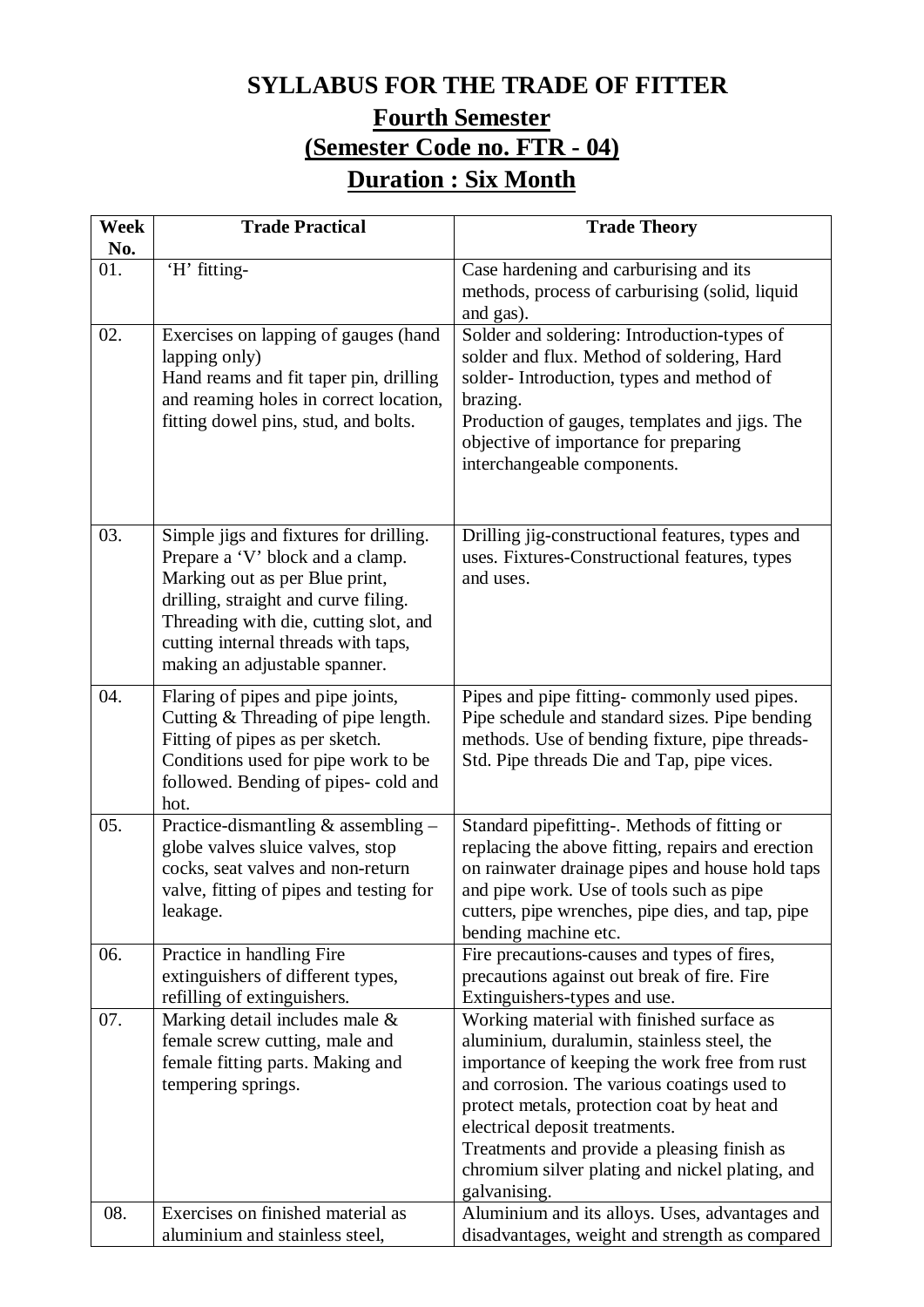### **SYLLABUS FOR THE TRADE OF FITTER**

### **Fourth Semester (Semester Code no. FTR - 04) Duration : Six Month**

| <b>Week</b> | <b>Trade Practical</b>                                                       | <b>Trade Theory</b>                                                                         |
|-------------|------------------------------------------------------------------------------|---------------------------------------------------------------------------------------------|
| No.<br>01.  | 'H' fitting-                                                                 | Case hardening and carburising and its                                                      |
|             |                                                                              | methods, process of carburising (solid, liquid                                              |
|             |                                                                              | and gas).                                                                                   |
| 02.         | Exercises on lapping of gauges (hand                                         | Solder and soldering: Introduction-types of                                                 |
|             | lapping only)                                                                | solder and flux. Method of soldering, Hard                                                  |
|             | Hand reams and fit taper pin, drilling                                       | solder-Introduction, types and method of                                                    |
|             | and reaming holes in correct location,                                       | brazing.                                                                                    |
|             | fitting dowel pins, stud, and bolts.                                         | Production of gauges, templates and jigs. The                                               |
|             |                                                                              | objective of importance for preparing<br>interchangeable components.                        |
|             |                                                                              |                                                                                             |
|             |                                                                              |                                                                                             |
| 03.         | Simple jigs and fixtures for drilling.                                       | Drilling jig-constructional features, types and                                             |
|             | Prepare a 'V' block and a clamp.                                             | uses. Fixtures-Constructional features, types                                               |
|             | Marking out as per Blue print,                                               | and uses.                                                                                   |
|             | drilling, straight and curve filing.                                         |                                                                                             |
|             | Threading with die, cutting slot, and<br>cutting internal threads with taps, |                                                                                             |
|             | making an adjustable spanner.                                                |                                                                                             |
| 04.         | Flaring of pipes and pipe joints,                                            | Pipes and pipe fitting-commonly used pipes.                                                 |
|             | Cutting & Threading of pipe length.                                          | Pipe schedule and standard sizes. Pipe bending                                              |
|             | Fitting of pipes as per sketch.                                              | methods. Use of bending fixture, pipe threads-                                              |
|             | Conditions used for pipe work to be                                          | Std. Pipe threads Die and Tap, pipe vices.                                                  |
|             | followed. Bending of pipes- cold and                                         |                                                                                             |
|             | hot.                                                                         |                                                                                             |
| 05.         | Practice-dismantling & assembling -                                          | Standard pipefitting-. Methods of fitting or                                                |
|             | globe valves sluice valves, stop                                             | replacing the above fitting, repairs and erection                                           |
|             | cocks, seat valves and non-return<br>valve, fitting of pipes and testing for | on rainwater drainage pipes and house hold taps<br>and pipe work. Use of tools such as pipe |
|             | leakage.                                                                     | cutters, pipe wrenches, pipe dies, and tap, pipe                                            |
|             |                                                                              | bending machine etc.                                                                        |
| 06.         | Practice in handling Fire                                                    | Fire precautions-causes and types of fires,                                                 |
|             | extinguishers of different types,                                            | precautions against out break of fire. Fire                                                 |
| 07.         | refilling of extinguishers.<br>Marking detail includes male &                | Extinguishers-types and use.<br>Working material with finished surface as                   |
|             | female screw cutting, male and                                               | aluminium, duralumin, stainless steel, the                                                  |
|             | female fitting parts. Making and                                             | importance of keeping the work free from rust                                               |
|             | tempering springs.                                                           | and corrosion. The various coatings used to                                                 |
|             |                                                                              | protect metals, protection coat by heat and                                                 |
|             |                                                                              | electrical deposit treatments.                                                              |
|             |                                                                              | Treatments and provide a pleasing finish as                                                 |
|             |                                                                              | chromium silver plating and nickel plating, and                                             |
| 08.         | Exercises on finished material as                                            | galvanising.<br>Aluminium and its alloys. Uses, advantages and                              |
|             | aluminium and stainless steel,                                               | disadvantages, weight and strength as compared                                              |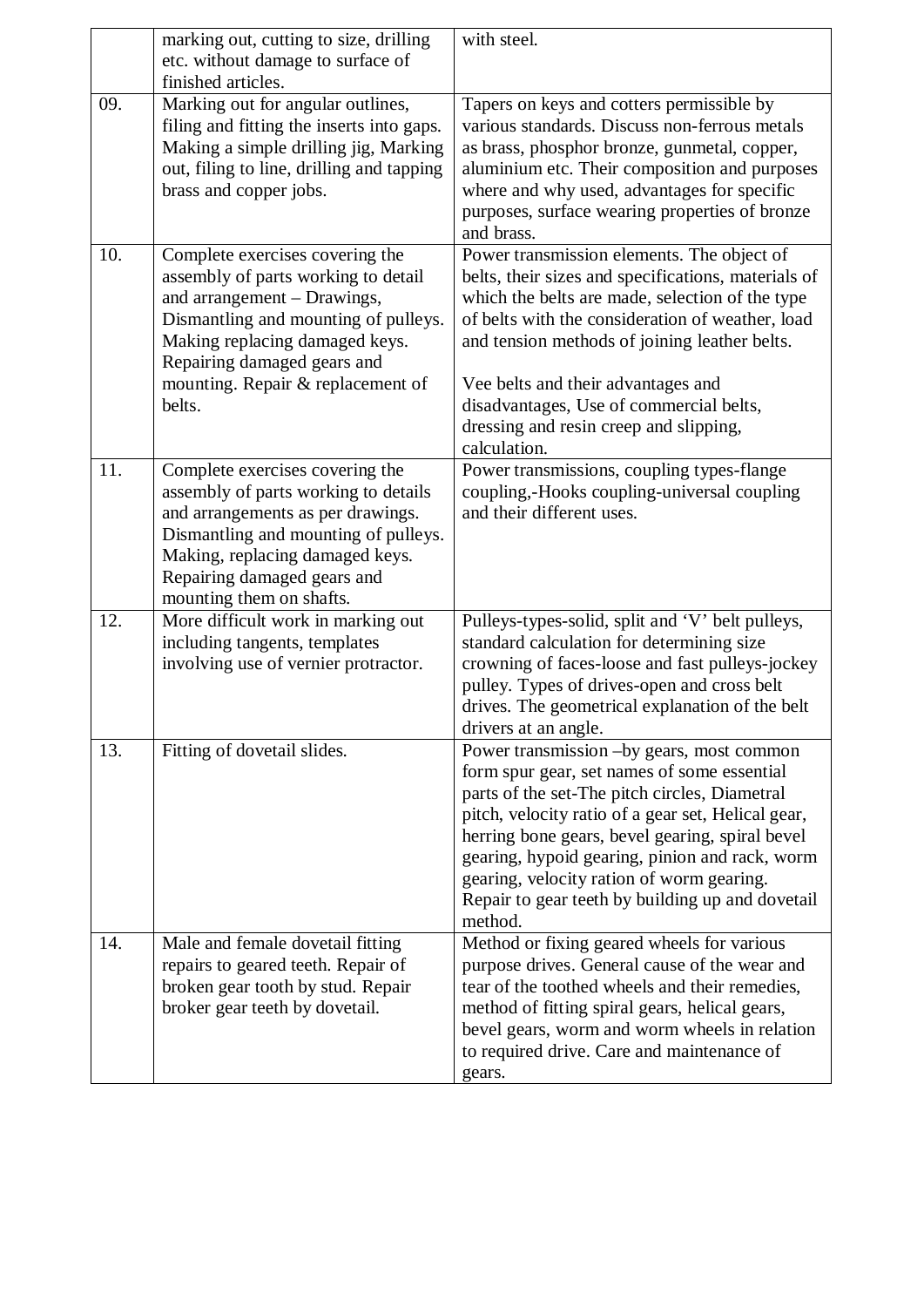|     | marking out, cutting to size, drilling                                                                                                                                                                                                                        | with steel.                                                                                                                                                                                                                                                                                                                                                                                                      |
|-----|---------------------------------------------------------------------------------------------------------------------------------------------------------------------------------------------------------------------------------------------------------------|------------------------------------------------------------------------------------------------------------------------------------------------------------------------------------------------------------------------------------------------------------------------------------------------------------------------------------------------------------------------------------------------------------------|
|     | etc. without damage to surface of                                                                                                                                                                                                                             |                                                                                                                                                                                                                                                                                                                                                                                                                  |
|     | finished articles.                                                                                                                                                                                                                                            |                                                                                                                                                                                                                                                                                                                                                                                                                  |
| 09. | Marking out for angular outlines,<br>filing and fitting the inserts into gaps.<br>Making a simple drilling jig, Marking<br>out, filing to line, drilling and tapping<br>brass and copper jobs.                                                                | Tapers on keys and cotters permissible by<br>various standards. Discuss non-ferrous metals<br>as brass, phosphor bronze, gunmetal, copper,<br>aluminium etc. Their composition and purposes<br>where and why used, advantages for specific<br>purposes, surface wearing properties of bronze<br>and brass.                                                                                                       |
| 10. | Complete exercises covering the<br>assembly of parts working to detail<br>and arrangement - Drawings,<br>Dismantling and mounting of pulleys.<br>Making replacing damaged keys.<br>Repairing damaged gears and<br>mounting. Repair & replacement of<br>belts. | Power transmission elements. The object of<br>belts, their sizes and specifications, materials of<br>which the belts are made, selection of the type<br>of belts with the consideration of weather, load<br>and tension methods of joining leather belts.<br>Vee belts and their advantages and<br>disadvantages, Use of commercial belts,<br>dressing and resin creep and slipping,<br>calculation.             |
| 11. | Complete exercises covering the<br>assembly of parts working to details<br>and arrangements as per drawings.<br>Dismantling and mounting of pulleys.<br>Making, replacing damaged keys.<br>Repairing damaged gears and<br>mounting them on shafts.            | Power transmissions, coupling types-flange<br>coupling,-Hooks coupling-universal coupling<br>and their different uses.                                                                                                                                                                                                                                                                                           |
| 12. | More difficult work in marking out<br>including tangents, templates<br>involving use of vernier protractor.                                                                                                                                                   | Pulleys-types-solid, split and 'V' belt pulleys,<br>standard calculation for determining size<br>crowning of faces-loose and fast pulleys-jockey<br>pulley. Types of drives-open and cross belt<br>drives. The geometrical explanation of the belt<br>drivers at an angle.                                                                                                                                       |
| 13. | Fitting of dovetail slides.                                                                                                                                                                                                                                   | Power transmission -by gears, most common<br>form spur gear, set names of some essential<br>parts of the set-The pitch circles, Diametral<br>pitch, velocity ratio of a gear set, Helical gear,<br>herring bone gears, bevel gearing, spiral bevel<br>gearing, hypoid gearing, pinion and rack, worm<br>gearing, velocity ration of worm gearing.<br>Repair to gear teeth by building up and dovetail<br>method. |
| 14. | Male and female dovetail fitting<br>repairs to geared teeth. Repair of<br>broken gear tooth by stud. Repair<br>broker gear teeth by dovetail.                                                                                                                 | Method or fixing geared wheels for various<br>purpose drives. General cause of the wear and<br>tear of the toothed wheels and their remedies,<br>method of fitting spiral gears, helical gears,<br>bevel gears, worm and worm wheels in relation<br>to required drive. Care and maintenance of<br>gears.                                                                                                         |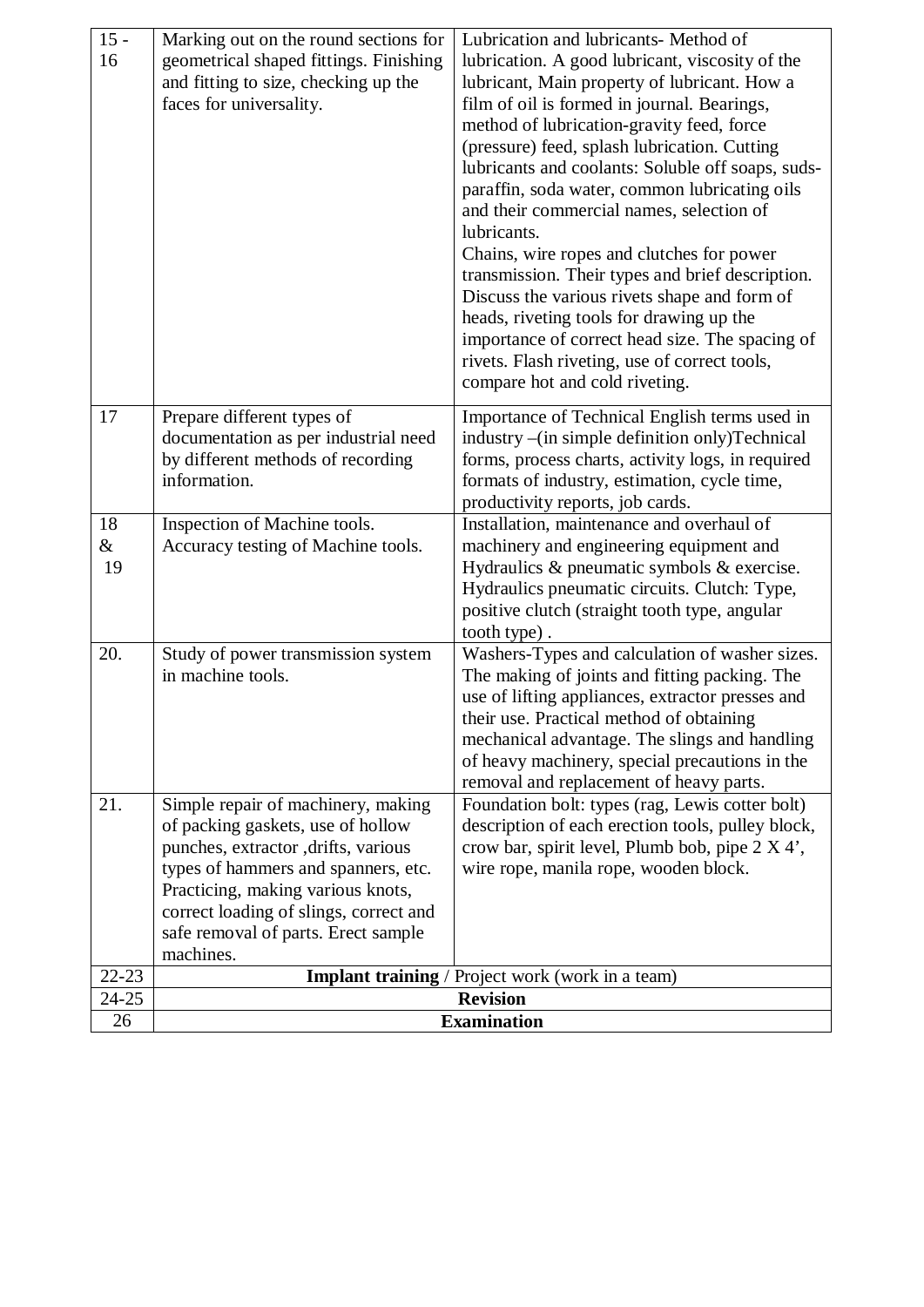| $15 -$    | Marking out on the round sections for                   | Lubrication and lubricants- Method of                                                             |  |
|-----------|---------------------------------------------------------|---------------------------------------------------------------------------------------------------|--|
| 16        | geometrical shaped fittings. Finishing                  | lubrication. A good lubricant, viscosity of the                                                   |  |
|           | and fitting to size, checking up the                    | lubricant, Main property of lubricant. How a                                                      |  |
|           | faces for universality.                                 | film of oil is formed in journal. Bearings,                                                       |  |
|           |                                                         | method of lubrication-gravity feed, force                                                         |  |
|           |                                                         | (pressure) feed, splash lubrication. Cutting                                                      |  |
|           |                                                         | lubricants and coolants: Soluble off soaps, suds-                                                 |  |
|           |                                                         | paraffin, soda water, common lubricating oils                                                     |  |
|           |                                                         | and their commercial names, selection of                                                          |  |
|           |                                                         | lubricants.<br>Chains, wire ropes and clutches for power                                          |  |
|           |                                                         | transmission. Their types and brief description.                                                  |  |
|           |                                                         | Discuss the various rivets shape and form of                                                      |  |
|           |                                                         | heads, riveting tools for drawing up the                                                          |  |
|           |                                                         | importance of correct head size. The spacing of                                                   |  |
|           |                                                         | rivets. Flash riveting, use of correct tools,                                                     |  |
|           |                                                         | compare hot and cold riveting.                                                                    |  |
| 17        | Prepare different types of                              | Importance of Technical English terms used in                                                     |  |
|           | documentation as per industrial need                    | industry –(in simple definition only)Technical                                                    |  |
|           | by different methods of recording                       | forms, process charts, activity logs, in required                                                 |  |
|           | information.                                            | formats of industry, estimation, cycle time,                                                      |  |
|           |                                                         | productivity reports, job cards.                                                                  |  |
| 18        | Inspection of Machine tools.                            | Installation, maintenance and overhaul of                                                         |  |
| &         | Accuracy testing of Machine tools.                      | machinery and engineering equipment and                                                           |  |
| 19        |                                                         | Hydraulics $\&$ pneumatic symbols $\&$ exercise.                                                  |  |
|           |                                                         | Hydraulics pneumatic circuits. Clutch: Type,                                                      |  |
|           |                                                         | positive clutch (straight tooth type, angular                                                     |  |
|           |                                                         | tooth type).                                                                                      |  |
| 20.       | Study of power transmission system<br>in machine tools. | Washers-Types and calculation of washer sizes.                                                    |  |
|           |                                                         | The making of joints and fitting packing. The<br>use of lifting appliances, extractor presses and |  |
|           |                                                         | their use. Practical method of obtaining                                                          |  |
|           |                                                         | mechanical advantage. The slings and handling                                                     |  |
|           |                                                         | of heavy machinery, special precautions in the                                                    |  |
|           |                                                         | removal and replacement of heavy parts.                                                           |  |
| 21.       | Simple repair of machinery, making                      | Foundation bolt: types (rag, Lewis cotter bolt)                                                   |  |
|           | of packing gaskets, use of hollow                       | description of each erection tools, pulley block,                                                 |  |
|           | punches, extractor, drifts, various                     | crow bar, spirit level, Plumb bob, pipe 2 X 4',                                                   |  |
|           | types of hammers and spanners, etc.                     | wire rope, manila rope, wooden block.                                                             |  |
|           | Practicing, making various knots,                       |                                                                                                   |  |
|           | correct loading of slings, correct and                  |                                                                                                   |  |
|           | safe removal of parts. Erect sample<br>machines.        |                                                                                                   |  |
| $22 - 23$ |                                                         | <b>Implant training</b> / Project work (work in a team)                                           |  |
| 24-25     |                                                         | <b>Revision</b>                                                                                   |  |
| 26        | <b>Examination</b>                                      |                                                                                                   |  |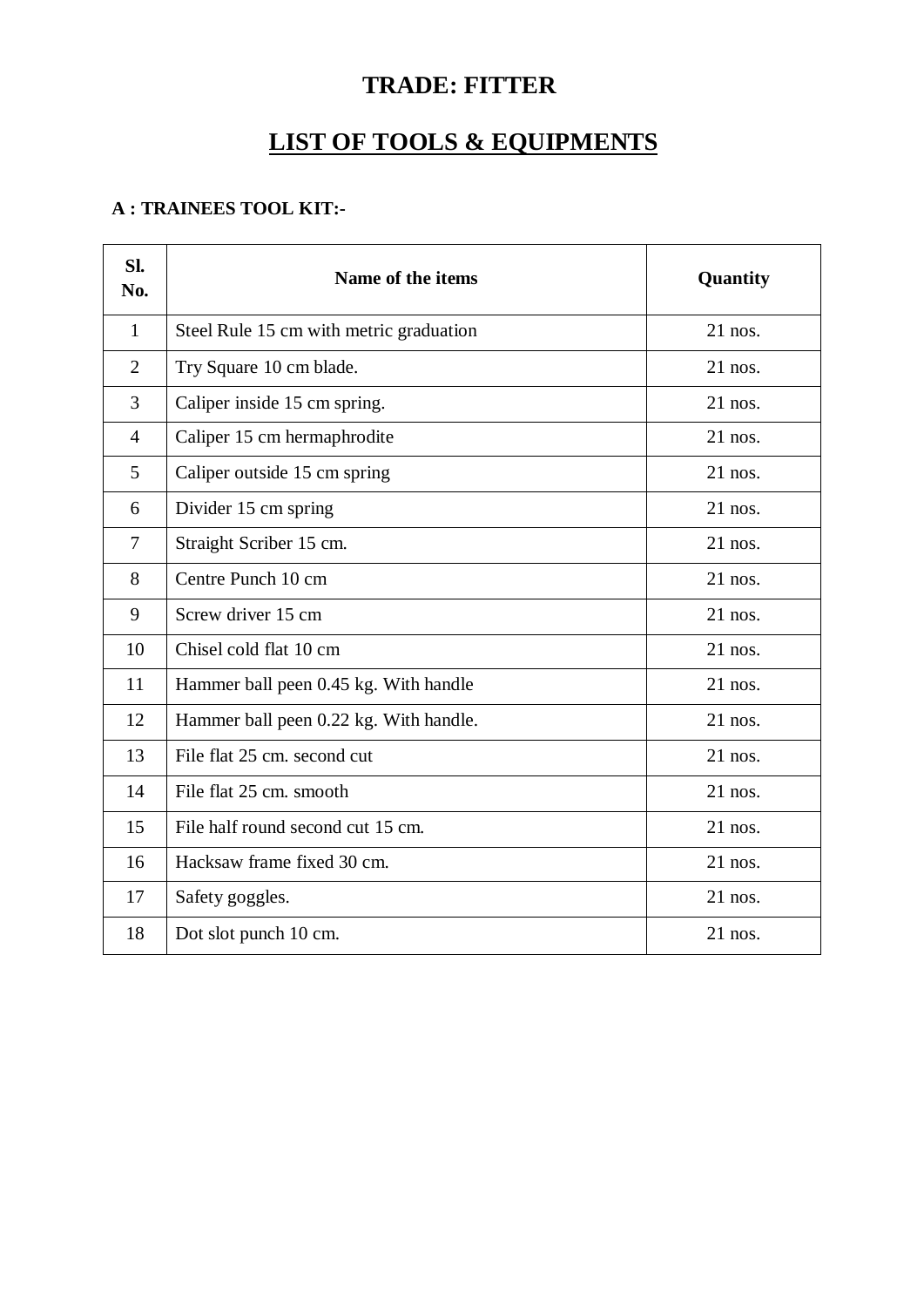# **TRADE: FITTER**

# **LIST OF TOOLS & EQUIPMENTS**

#### **A : TRAINEES TOOL KIT:-**

| Sl.<br>No.     | Name of the items                       | Quantity  |
|----------------|-----------------------------------------|-----------|
| $\mathbf{1}$   | Steel Rule 15 cm with metric graduation | 21 nos.   |
| $\overline{2}$ | Try Square 10 cm blade.                 | $21$ nos. |
| 3              | Caliper inside 15 cm spring.            | $21$ nos. |
| $\overline{4}$ | Caliper 15 cm hermaphrodite             | $21$ nos. |
| 5              | Caliper outside 15 cm spring            | $21$ nos. |
| 6              | Divider 15 cm spring                    | $21$ nos. |
| $\overline{7}$ | Straight Scriber 15 cm.                 | $21$ nos. |
| 8              | Centre Punch 10 cm                      | $21$ nos. |
| 9              | Screw driver 15 cm                      | $21$ nos. |
| 10             | Chisel cold flat 10 cm                  | $21$ nos. |
| 11             | Hammer ball peen 0.45 kg. With handle   | $21$ nos. |
| 12             | Hammer ball peen 0.22 kg. With handle.  | $21$ nos. |
| 13             | File flat 25 cm. second cut             | $21$ nos. |
| 14             | File flat 25 cm. smooth                 | $21$ nos. |
| 15             | File half round second cut 15 cm.       | $21$ nos. |
| 16             | Hacksaw frame fixed 30 cm.              | $21$ nos. |
| 17             | Safety goggles.                         | $21$ nos. |
| 18             | Dot slot punch 10 cm.                   | $21$ nos. |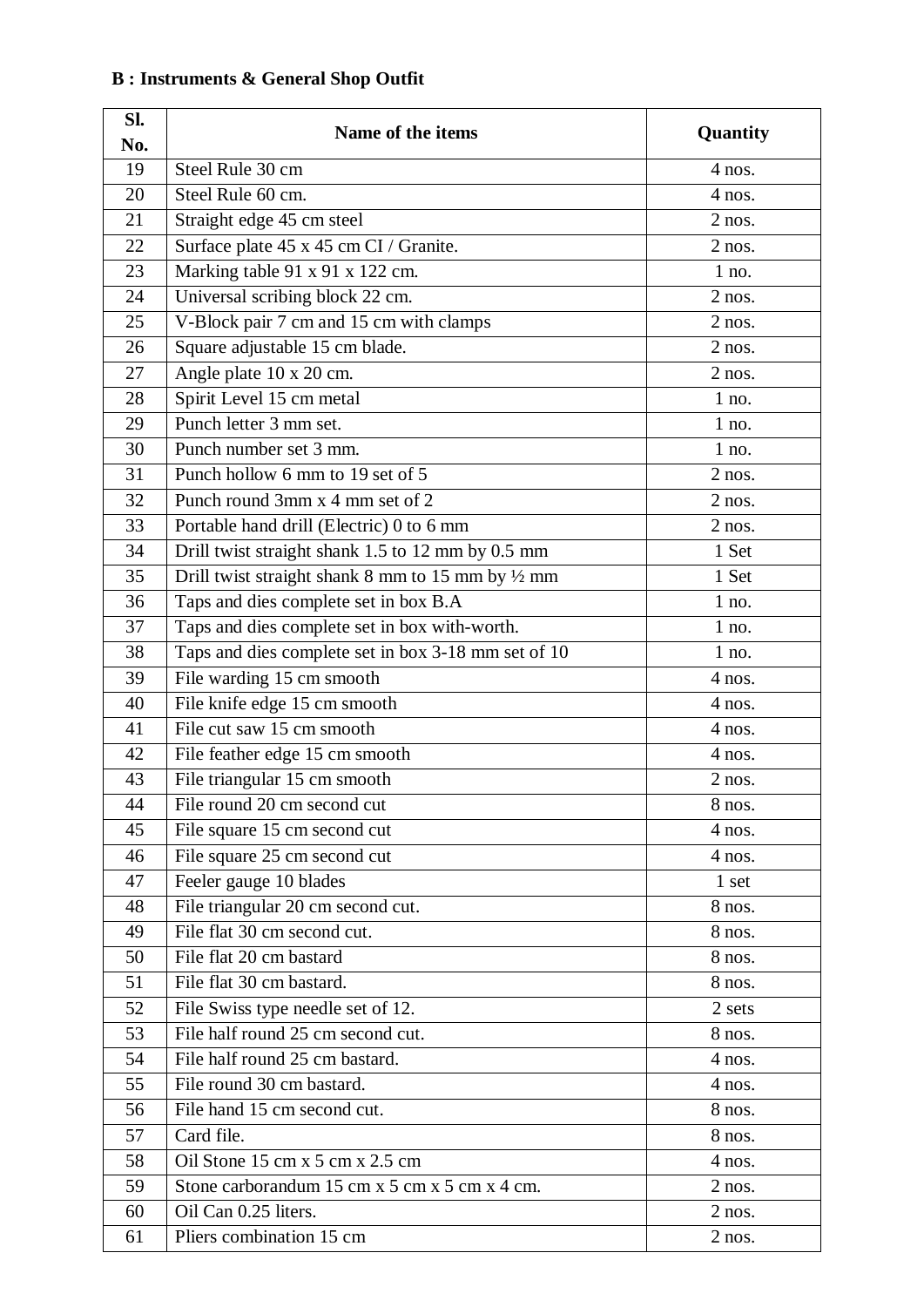#### **Sl.**  Name of the items **Quantity Quantity No.** 19 Steel Rule 30 cm 4 nos.  $20 \quad$  Steel Rule 60 cm. 4 nos. 21 Straight edge 45 cm steel 2 nos. 22 Surface plate  $45 \times 45$  cm CI / Granite. 2 nos. 23 Marking table 91 x 91 x 122 cm. 1 no. 24 Universal scribing block 22 cm. 2 nos.  $25$  V-Block pair 7 cm and 15 cm with clamps 2 nos. 26 Square adjustable 15 cm blade. 2 nos. 27 Angle plate  $10 \times 20$  cm. 28 Spirit Level 15 cm metal 1 no.  $29$  Punch letter 3 mm set. 1 no.  $30$  Punch number set  $3 \text{ mm}$ . 1 no.  $31$  Punch hollow 6 mm to 19 set of 5 2 nos.  $32$  Punch round 3mm x 4 mm set of 2 2 nos. 33 Portable hand drill (Electric) 0 to 6 mm 34 Drill twist straight shank 1.5 to 12 mm by 0.5 mm 1 Set  $\overline{35}$  Drill twist straight shank 8 mm to 15 mm by  $\frac{1}{2}$  mm 36 Taps and dies complete set in box B.A 1 no. 37 Taps and dies complete set in box with-worth. 1 no. 38 Taps and dies complete set in box 3-18 mm set of 10 1 no.  $39$  File warding 15 cm smooth  $4 \text{ nos.}$ 40 File knife edge 15 cm smooth 4 nos. 41 File cut saw 15 cm smooth 4 nos. 42 File feather edge 15 cm smooth 4 nos. 43 File triangular 15 cm smooth 2 nos. 44 File round 20 cm second cut 8 nos. 45 File square 15 cm second cut 4 nos. 46 File square 25 cm second cut 4 nos. 47 Feeler gauge 10 blades 1 set 48 File triangular 20 cm second cut. 8 nos. 49 File flat 30 cm second cut. 8 nos.  $50 \quad$  File flat 20 cm bastard 8 nos. 51 File flat 30 cm bastard. 8 nos. 52 | File Swiss type needle set of 12. 2 sets  $\overline{53}$  File half round 25 cm second cut.  $\overline{8}$  nos. 54 File half round 25 cm bastard. 4 nos. 55 File round 30 cm bastard. 4 nos. 56 File hand 15 cm second cut. 8 nos.  $57$  Card file. 8 nos.  $58$  Oil Stone 15 cm x 5 cm x 2.5 cm 4 nos.  $59$  Stone carborandum 15 cm x 5 cm x 5 cm x 4 cm.  $\begin{array}{c|c|c|c|c|c} \hline 60 & \text{Oil Can } 0.25 \text{ liters.} \end{array}$  2 nos. 61 Pliers combination 15 cm 2 nos.

#### **B : Instruments & General Shop Outfit**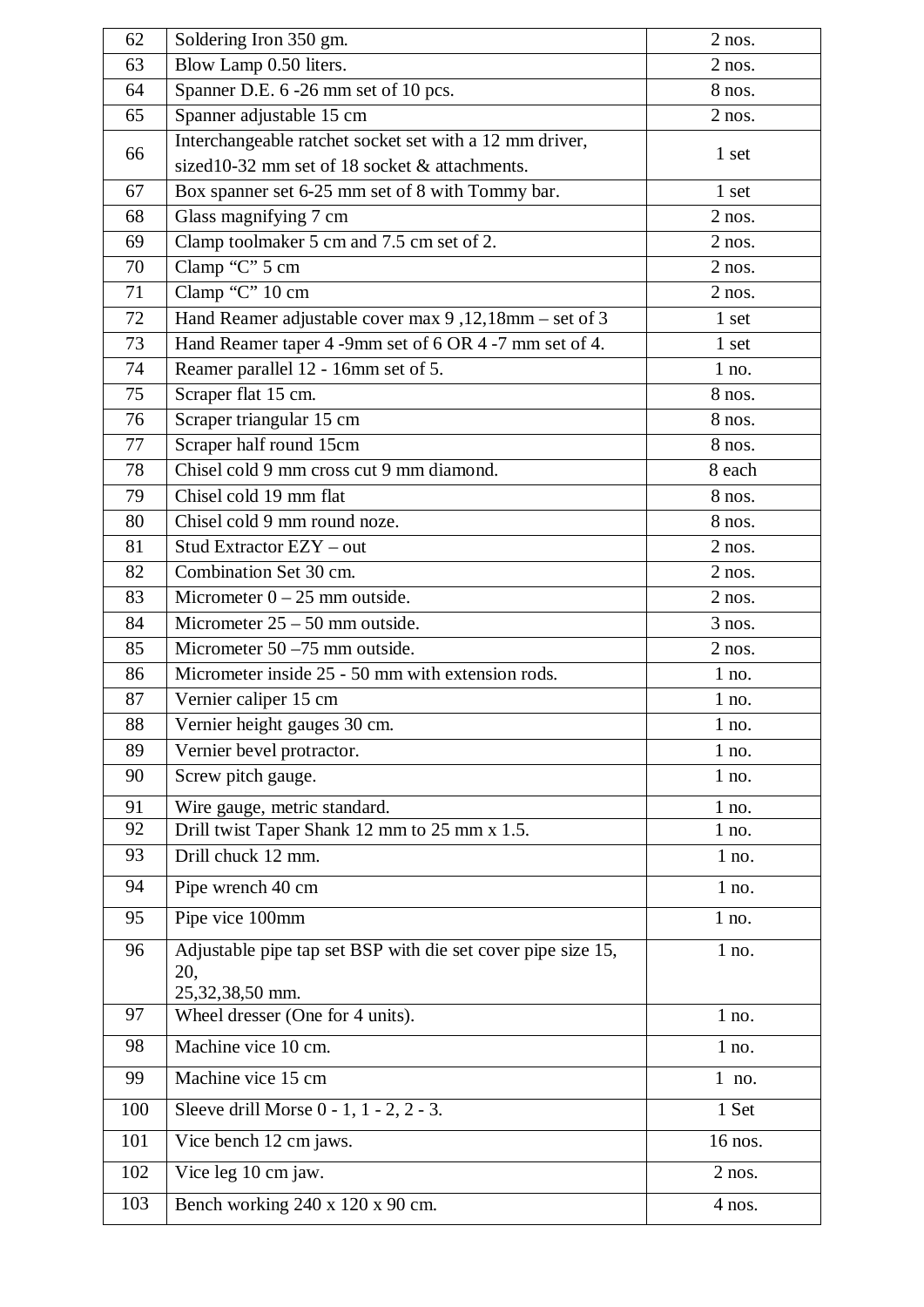| 62  | Soldering Iron 350 gm.                                                                                   | $2$ nos. |
|-----|----------------------------------------------------------------------------------------------------------|----------|
| 63  | Blow Lamp 0.50 liters.                                                                                   | $2$ nos. |
| 64  | Spanner D.E. 6 -26 mm set of 10 pcs.                                                                     | 8 nos.   |
| 65  | Spanner adjustable 15 cm                                                                                 | $2$ nos. |
| 66  | Interchangeable ratchet socket set with a 12 mm driver,<br>sized10-32 mm set of 18 socket & attachments. | 1 set    |
| 67  | Box spanner set 6-25 mm set of 8 with Tommy bar.                                                         | 1 set    |
| 68  | Glass magnifying 7 cm                                                                                    | $2$ nos. |
| 69  | Clamp toolmaker 5 cm and 7.5 cm set of 2.                                                                | $2$ nos. |
| 70  | Clamp "C" 5 cm                                                                                           | $2$ nos. |
| 71  | Clamp "C" 10 cm                                                                                          | $2$ nos. |
| 72  | Hand Reamer adjustable cover max 9,12,18mm - set of 3                                                    | 1 set    |
| 73  | Hand Reamer taper 4 -9mm set of 6 OR 4 -7 mm set of 4.                                                   | 1 set    |
| 74  | Reamer parallel 12 - 16mm set of 5.                                                                      | $1$ no.  |
| 75  | Scraper flat 15 cm.                                                                                      | $8$ nos. |
| 76  | Scraper triangular 15 cm                                                                                 | 8 nos.   |
| 77  | Scraper half round 15cm                                                                                  | 8 nos.   |
| 78  | Chisel cold 9 mm cross cut 9 mm diamond.                                                                 | 8 each   |
| 79  | Chisel cold 19 mm flat                                                                                   | 8 nos.   |
| 80  | Chisel cold 9 mm round noze.                                                                             | 8 nos.   |
| 81  | Stud Extractor EZY - out                                                                                 | $2$ nos. |
| 82  | Combination Set 30 cm.                                                                                   | $2$ nos. |
| 83  | Micrometer $0 - 25$ mm outside.                                                                          | $2$ nos. |
| 84  | Micrometer $25 - 50$ mm outside.                                                                         | $3$ nos. |
| 85  | Micrometer $50 - 75$ mm outside.                                                                         | $2$ nos. |
| 86  | Micrometer inside 25 - 50 mm with extension rods.                                                        | $1$ no.  |
| 87  | Vernier caliper 15 cm                                                                                    | 1 no.    |
| 88  | Vernier height gauges 30 cm.                                                                             | $1$ no.  |
| 89  | Vernier bevel protractor.                                                                                | $1$ no.  |
| 90  | Screw pitch gauge.                                                                                       | $1$ no.  |
| 91  | Wire gauge, metric standard.                                                                             | $1$ no.  |
| 92  | Drill twist Taper Shank 12 mm to 25 mm x 1.5.                                                            | $1$ no.  |
| 93  | Drill chuck 12 mm.                                                                                       | $1$ no.  |
| 94  | Pipe wrench 40 cm                                                                                        | $1$ no.  |
| 95  | Pipe vice 100mm                                                                                          | $1$ no.  |
| 96  | Adjustable pipe tap set BSP with die set cover pipe size 15,<br>20,<br>25,32,38,50 mm.                   | 1 no.    |
| 97  | Wheel dresser (One for 4 units).                                                                         | 1 no.    |
| 98  | Machine vice 10 cm.                                                                                      | $1$ no.  |
| 99  | Machine vice 15 cm                                                                                       | 1 no.    |
| 100 | Sleeve drill Morse 0 - 1, 1 - 2, 2 - 3.                                                                  | 1 Set    |
| 101 | Vice bench 12 cm jaws.                                                                                   | 16 nos.  |
| 102 | Vice leg 10 cm jaw.                                                                                      | $2$ nos. |
| 103 | Bench working 240 x 120 x 90 cm.                                                                         | 4 nos.   |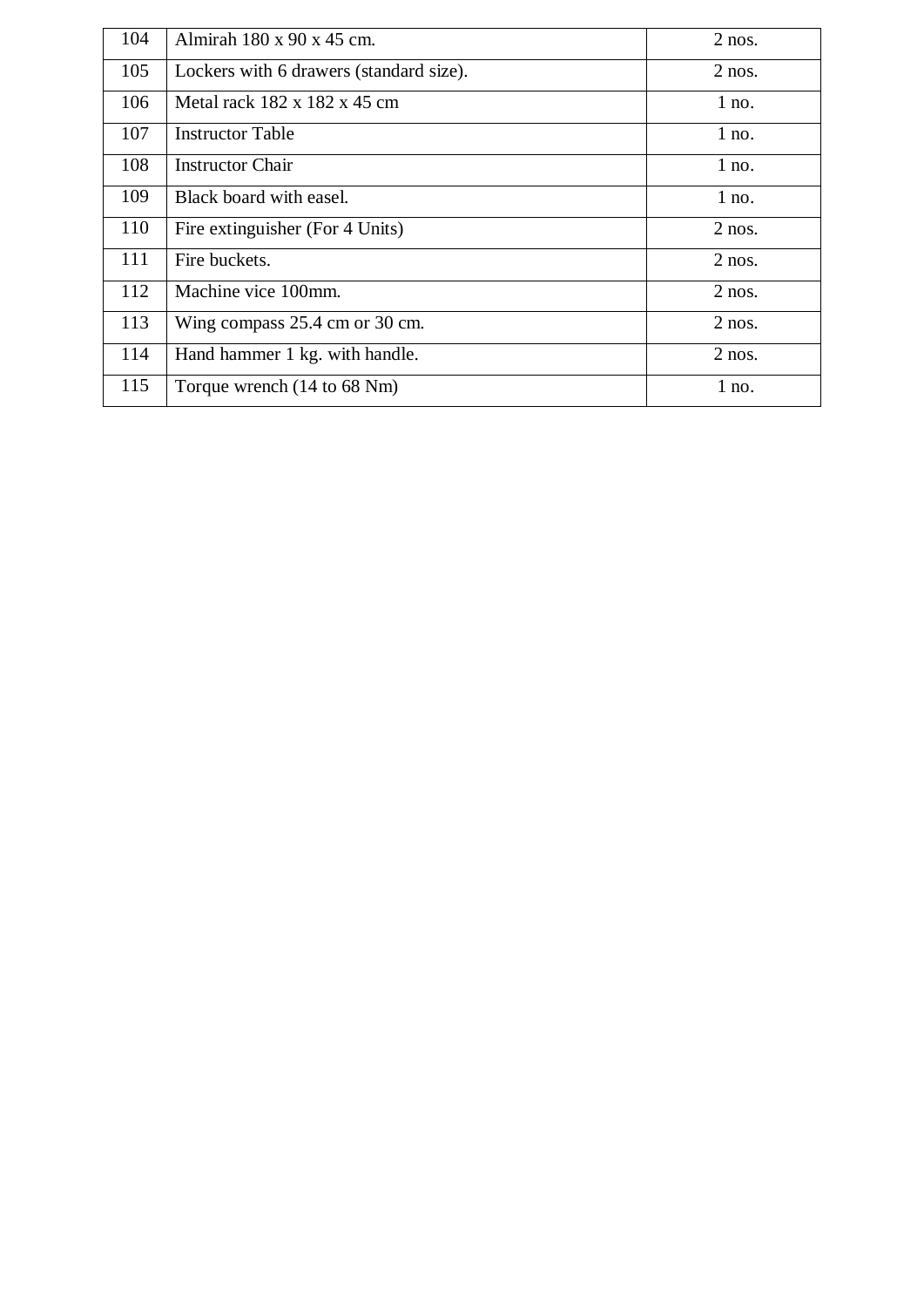| 104 | Almirah 180 x 90 x 45 cm.               | $2$ nos. |
|-----|-----------------------------------------|----------|
| 105 | Lockers with 6 drawers (standard size). | $2$ nos. |
| 106 | Metal rack 182 x 182 x 45 cm            | $1$ no.  |
| 107 | <b>Instructor Table</b>                 | $1$ no.  |
| 108 | <b>Instructor Chair</b>                 | $1$ no.  |
| 109 | Black board with easel.                 | $1$ no.  |
| 110 | Fire extinguisher (For 4 Units)         | $2$ nos. |
| 111 | Fire buckets.                           | $2$ nos. |
| 112 | Machine vice 100mm.                     | $2$ nos. |
| 113 | Wing compass 25.4 cm or 30 cm.          | $2$ nos. |
| 114 | Hand hammer 1 kg. with handle.          | $2$ nos. |
| 115 | Torque wrench (14 to 68 Nm)             | $1$ no.  |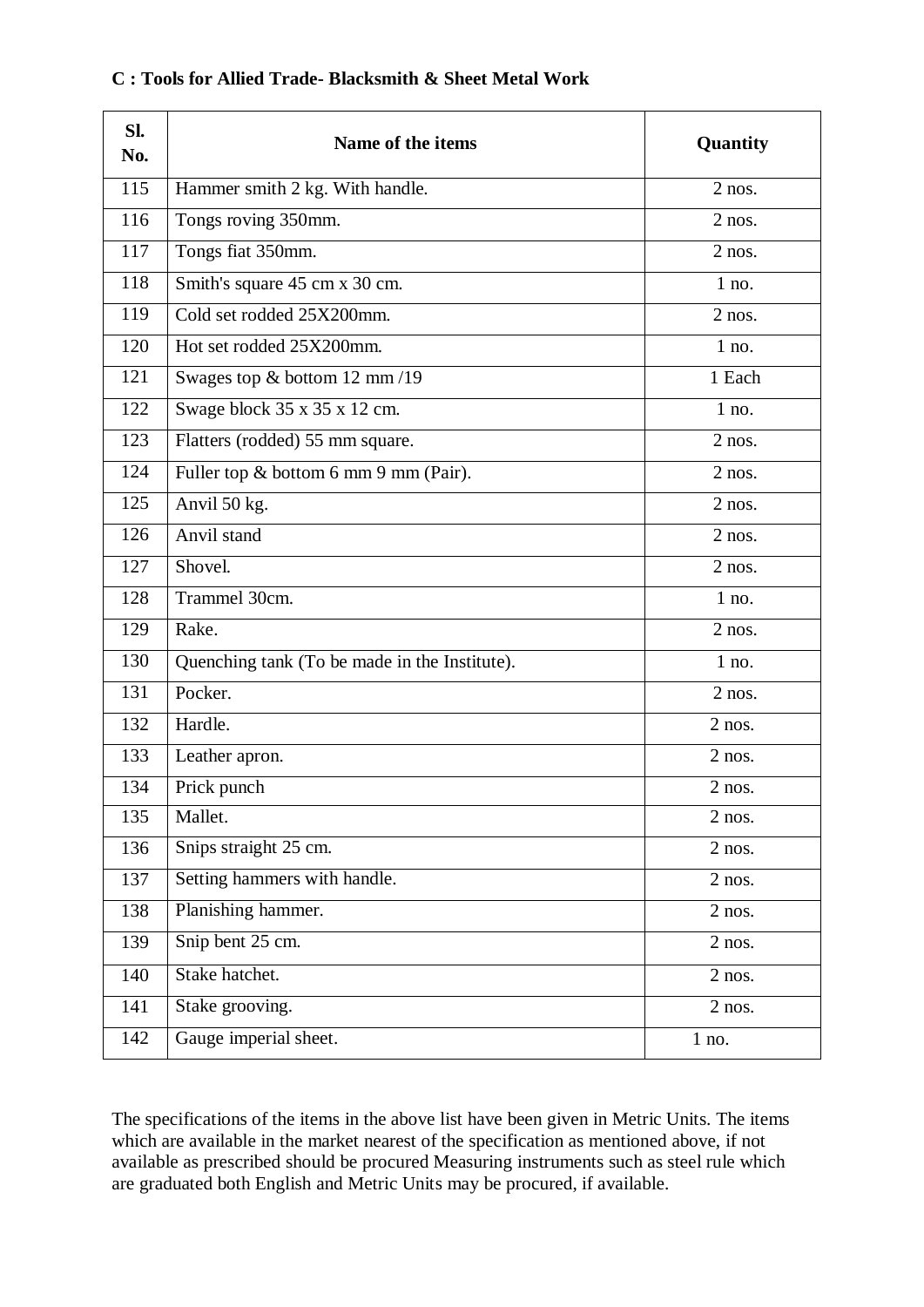| SI.<br>No. | Name of the items                             | Quantity |
|------------|-----------------------------------------------|----------|
| 115        | Hammer smith 2 kg. With handle.               | $2$ nos. |
| 116        | Tongs roving 350mm.                           | $2$ nos. |
| 117        | Tongs fiat 350mm.                             | $2$ nos. |
| 118        | Smith's square 45 cm x 30 cm.                 | $1$ no.  |
| 119        | Cold set rodded 25X200mm.                     | $2$ nos. |
| 120        | Hot set rodded 25X200mm.                      | $1$ no.  |
| 121        | Swages top & bottom 12 mm/19                  | 1 Each   |
| 122        | Swage block 35 x 35 x 12 cm.                  | $1$ no.  |
| 123        | Flatters (rodded) 55 mm square.               | $2$ nos. |
| 124        | Fuller top & bottom 6 mm 9 mm (Pair).         | $2$ nos. |
| 125        | Anvil 50 kg.                                  | $2$ nos. |
| 126        | Anvil stand                                   | $2$ nos. |
| 127        | Shovel.                                       | $2$ nos. |
| 128        | Trammel 30cm.                                 | $1$ no.  |
| 129        | Rake.                                         | $2$ nos. |
| 130        | Quenching tank (To be made in the Institute). | $1$ no.  |
| 131        | Pocker.                                       | $2$ nos. |
| 132        | Hardle.                                       | $2$ nos. |
| 133        | Leather apron.                                | $2$ nos. |
| 134        | Prick punch                                   | $2$ nos. |
| 135        | Mallet.                                       | $2$ nos. |
| 136        | Snips straight 25 cm.                         | $2$ nos. |
| 137        | Setting hammers with handle.                  | $2$ nos. |
| 138        | Planishing hammer.                            | $2$ nos. |
| 139        | Snip bent 25 cm.                              | $2$ nos. |
| 140        | Stake hatchet.                                | $2$ nos. |
| 141        | Stake grooving.                               | $2$ nos. |
| 142        | Gauge imperial sheet.                         | $1$ no.  |

#### **C : Tools for Allied Trade- Blacksmith & Sheet Metal Work**

The specifications of the items in the above list have been given in Metric Units. The items which are available in the market nearest of the specification as mentioned above, if not available as prescribed should be procured Measuring instruments such as steel rule which are graduated both English and Metric Units may be procured, if available.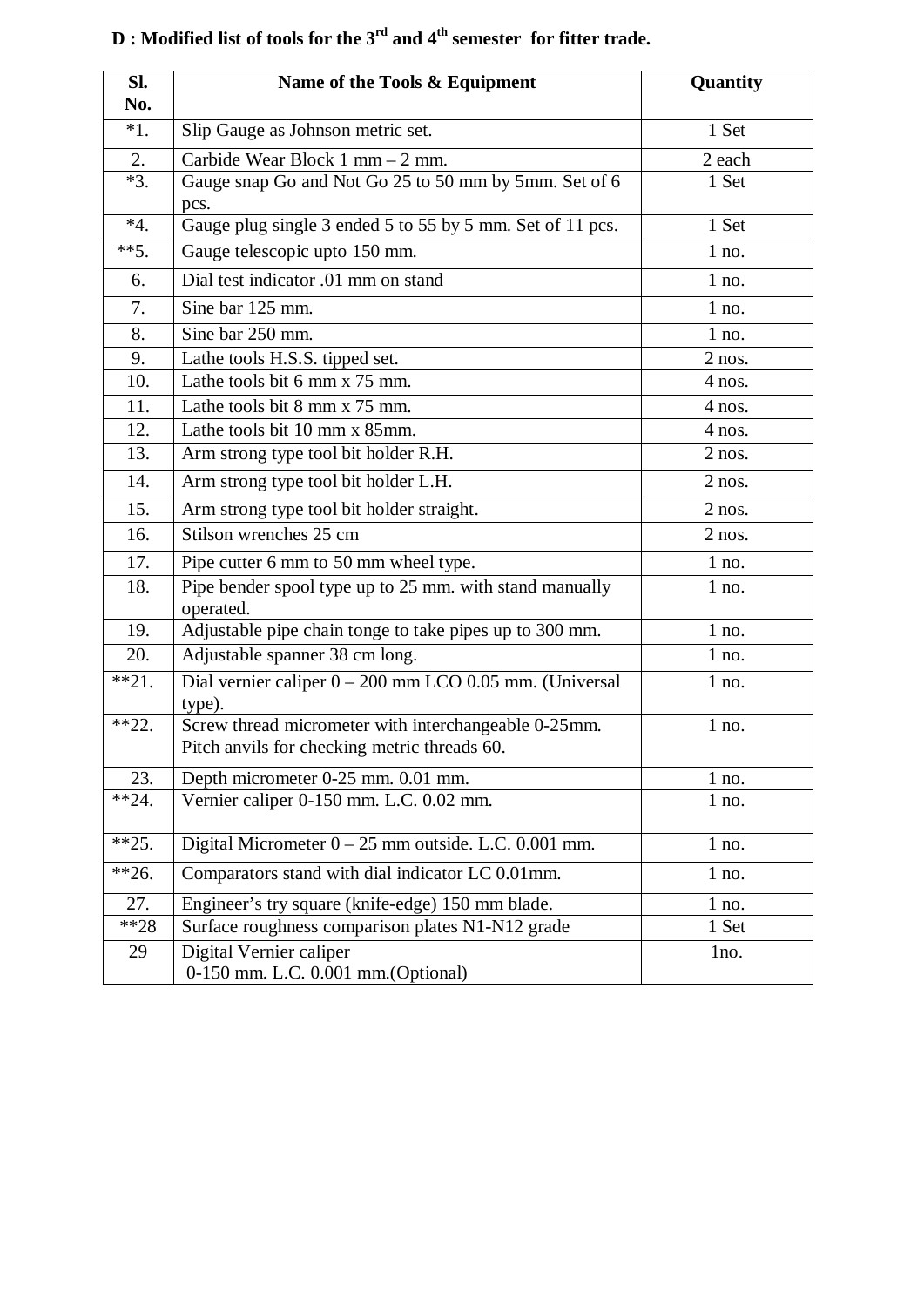| SI.          | Name of the Tools & Equipment                                                                        | Quantity        |
|--------------|------------------------------------------------------------------------------------------------------|-----------------|
| No.<br>$*1.$ | Slip Gauge as Johnson metric set.                                                                    | 1 Set           |
|              |                                                                                                      |                 |
| 2.<br>$*3.$  | Carbide Wear Block 1 mm - 2 mm.<br>Gauge snap Go and Not Go 25 to 50 mm by 5mm. Set of 6             | 2 each<br>1 Set |
|              | pcs.                                                                                                 |                 |
| $*4.$        | Gauge plug single 3 ended 5 to 55 by 5 mm. Set of 11 pcs.                                            | 1 Set           |
| $**5.$       | Gauge telescopic upto 150 mm.                                                                        | $1$ no.         |
| 6.           | Dial test indicator .01 mm on stand                                                                  | $1$ no.         |
| 7.           | Sine bar 125 mm.                                                                                     | $1$ no.         |
| 8.           | Sine bar 250 mm.                                                                                     | $1$ no.         |
| 9.           | Lathe tools H.S.S. tipped set.                                                                       | $2$ nos.        |
| 10.          | Lathe tools bit 6 mm x 75 mm.                                                                        | $4$ nos.        |
| 11.          | Lathe tools bit 8 mm x 75 mm.                                                                        | $4$ nos.        |
| 12.          | Lathe tools bit 10 mm x 85mm.                                                                        | $4$ nos.        |
| 13.          | Arm strong type tool bit holder R.H.                                                                 | $2$ nos.        |
| 14.          | Arm strong type tool bit holder L.H.                                                                 | $2$ nos.        |
| 15.          | Arm strong type tool bit holder straight.                                                            | $2$ nos.        |
| 16.          | Stilson wrenches 25 cm                                                                               | $2$ nos.        |
| 17.          | Pipe cutter 6 mm to 50 mm wheel type.                                                                | $1$ no.         |
| 18.          | Pipe bender spool type up to 25 mm. with stand manually<br>operated.                                 | $1$ no.         |
| 19.          | Adjustable pipe chain tonge to take pipes up to 300 mm.                                              | $1$ no.         |
| 20.          | Adjustable spanner 38 cm long.                                                                       | $1$ no.         |
| $**21.$      | Dial vernier caliper $0 - 200$ mm LCO 0.05 mm. (Universal<br>type).                                  | $1$ no.         |
| $*22.$       | Screw thread micrometer with interchangeable 0-25mm.<br>Pitch anvils for checking metric threads 60. | $1$ no.         |
| 23.          | Depth micrometer 0-25 mm. 0.01 mm.                                                                   | $1$ no.         |
| $*24.$       | Vernier caliper 0-150 mm. L.C. 0.02 mm.                                                              | $1$ no.         |
| $**25.$      | Digital Micrometer $0 - 25$ mm outside. L.C. 0.001 mm.                                               | $1$ no.         |
| $**26.$      | Comparators stand with dial indicator LC 0.01mm.                                                     | $1$ no.         |
| 27.          | Engineer's try square (knife-edge) 150 mm blade.                                                     | $1$ no.         |
| $**28$       | Surface roughness comparison plates N1-N12 grade                                                     | 1 Set           |
| 29           | Digital Vernier caliper<br>0-150 mm. L.C. 0.001 mm. (Optional)                                       | 1no.            |

# **D : Modified list of tools for the 3rd and 4th semester for fitter trade.**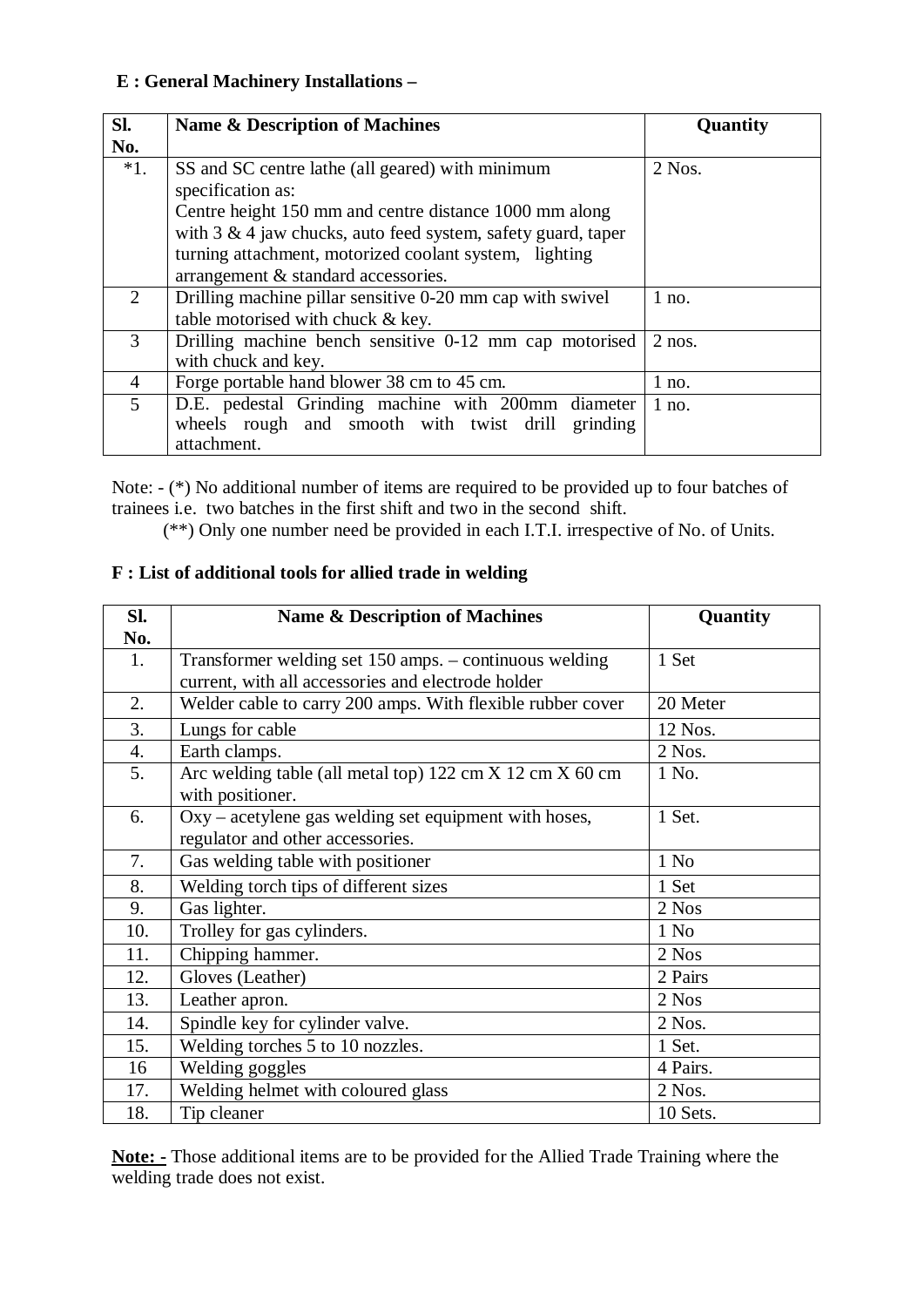#### **E : General Machinery Installations –**

| SI.            | Name & Description of Machines                                        | Quantity |
|----------------|-----------------------------------------------------------------------|----------|
| No.            |                                                                       |          |
| $*1.$          | SS and SC centre lathe (all geared) with minimum<br>specification as: | $2$ Nos. |
|                | Centre height 150 mm and centre distance 1000 mm along                |          |
|                | with $3 \& 4$ jaw chucks, auto feed system, safety guard, taper       |          |
|                | turning attachment, motorized coolant system, lighting                |          |
|                | arrangement & standard accessories.                                   |          |
| $\overline{2}$ | Drilling machine pillar sensitive 0-20 mm cap with swivel             | $1$ no.  |
|                | table motorised with chuck & key.                                     |          |
| 3              | Drilling machine bench sensitive 0-12 mm cap motorised                | $2$ nos. |
|                | with chuck and key.                                                   |          |
| $\overline{4}$ | Forge portable hand blower 38 cm to 45 cm.                            | $1$ no.  |
| $\overline{5}$ | D.E. pedestal Grinding machine with 200mm diameter                    | $1$ no.  |
|                | wheels rough and smooth with twist drill grinding                     |          |
|                | attachment.                                                           |          |

Note: - (\*) No additional number of items are required to be provided up to four batches of trainees i.e. two batches in the first shift and two in the second shift.

(\*\*) Only one number need be provided in each I.T.I. irrespective of No. of Units.

#### **F : List of additional tools for allied trade in welding**

| SI. | <b>Name &amp; Description of Machines</b>                                                              | Quantity         |
|-----|--------------------------------------------------------------------------------------------------------|------------------|
| No. |                                                                                                        |                  |
| 1.  | Transformer welding set 150 amps. – continuous welding                                                 | 1 Set            |
|     | current, with all accessories and electrode holder                                                     |                  |
| 2.  | Welder cable to carry 200 amps. With flexible rubber cover                                             | 20 Meter         |
| 3.  | Lungs for cable                                                                                        | 12 Nos.          |
| 4.  | Earth clamps.                                                                                          | 2 Nos.           |
| 5.  | Arc welding table (all metal top) $122 \text{ cm} X 12 \text{ cm} X 60 \text{ cm}$<br>with positioner. | 1 No.            |
| 6.  | Oxy - acetylene gas welding set equipment with hoses,<br>regulator and other accessories.              | 1 Set.           |
| 7.  | Gas welding table with positioner                                                                      | 1 No             |
| 8.  | Welding torch tips of different sizes                                                                  | 1 Set            |
| 9.  | Gas lighter.                                                                                           | 2 Nos            |
| 10. | Trolley for gas cylinders.                                                                             | 1 N <sub>0</sub> |
| 11. | Chipping hammer.                                                                                       | 2 Nos            |
| 12. | Gloves (Leather)                                                                                       | 2 Pairs          |
| 13. | Leather apron.                                                                                         | 2 Nos            |
| 14. | Spindle key for cylinder valve.                                                                        | 2 Nos.           |
| 15. | Welding torches 5 to 10 nozzles.                                                                       | 1 Set.           |
| 16  | Welding goggles                                                                                        | 4 Pairs.         |
| 17. | Welding helmet with coloured glass                                                                     | 2 Nos.           |
| 18. | Tip cleaner                                                                                            | 10 Sets.         |

**Note: -** Those additional items are to be provided for the Allied Trade Training where the welding trade does not exist.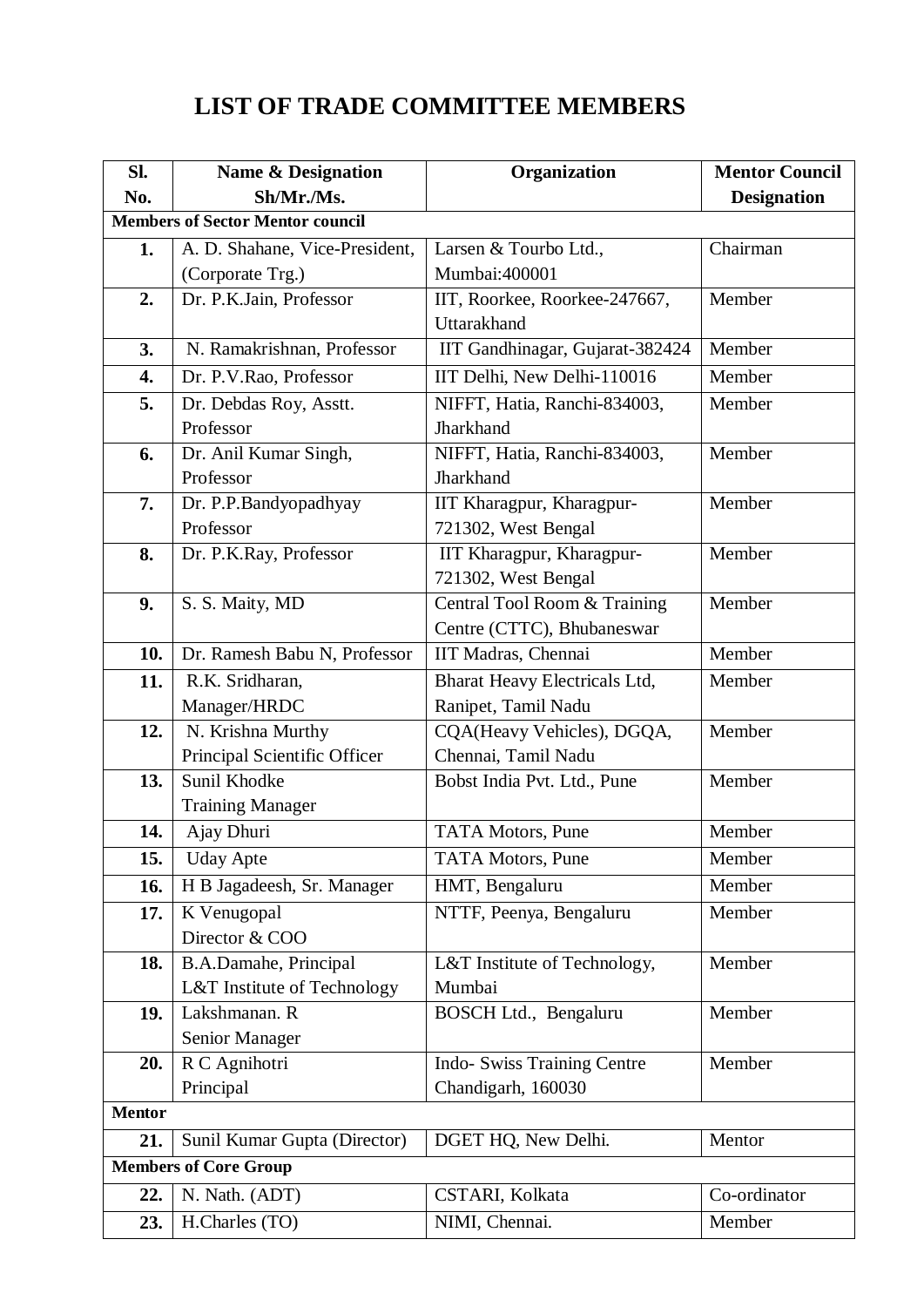# **LIST OF TRADE COMMITTEE MEMBERS**

| SI.                                     | <b>Name &amp; Designation</b>  | Organization                                      | <b>Mentor Council</b> |  |
|-----------------------------------------|--------------------------------|---------------------------------------------------|-----------------------|--|
| No.                                     | Sh/Mr./Ms.                     |                                                   | <b>Designation</b>    |  |
| <b>Members of Sector Mentor council</b> |                                |                                                   |                       |  |
| 1.                                      | A. D. Shahane, Vice-President, | Larsen & Tourbo Ltd.,                             | Chairman              |  |
|                                         | (Corporate Trg.)               | Mumbai:400001                                     |                       |  |
| 2.                                      | Dr. P.K.Jain, Professor        | IIT, Roorkee, Roorkee-247667,                     | Member                |  |
|                                         |                                | Uttarakhand                                       |                       |  |
| 3.                                      | N. Ramakrishnan, Professor     | IIT Gandhinagar, Gujarat-382424                   | Member                |  |
| 4.                                      | Dr. P.V.Rao, Professor         | IIT Delhi, New Delhi-110016                       | Member                |  |
| 5.                                      | Dr. Debdas Roy, Asstt.         | NIFFT, Hatia, Ranchi-834003,                      | Member                |  |
|                                         | Professor                      | Jharkhand                                         |                       |  |
| 6.                                      | Dr. Anil Kumar Singh,          | NIFFT, Hatia, Ranchi-834003,                      | Member                |  |
|                                         | Professor                      | Jharkhand                                         |                       |  |
| 7.                                      | Dr. P.P.Bandyopadhyay          | IIT Kharagpur, Kharagpur-                         | Member                |  |
|                                         | Professor                      | 721302, West Bengal                               |                       |  |
| 8.                                      | Dr. P.K.Ray, Professor         | IIT Kharagpur, Kharagpur-                         | Member                |  |
|                                         |                                | 721302, West Bengal                               |                       |  |
| 9.                                      | S. S. Maity, MD                | Central Tool Room & Training                      | Member                |  |
|                                         |                                | Centre (CTTC), Bhubaneswar                        |                       |  |
| 10.                                     | Dr. Ramesh Babu N, Professor   | IIT Madras, Chennai                               | Member                |  |
| 11.                                     | R.K. Sridharan,                | Bharat Heavy Electricals Ltd,                     | Member                |  |
|                                         | Manager/HRDC                   | Ranipet, Tamil Nadu                               |                       |  |
| 12.                                     | N. Krishna Murthy              | CQA(Heavy Vehicles), DGQA,                        | Member                |  |
|                                         | Principal Scientific Officer   | Chennai, Tamil Nadu                               |                       |  |
| 13.                                     | Sunil Khodke                   | Bobst India Pvt. Ltd., Pune                       | Member                |  |
|                                         | <b>Training Manager</b>        |                                                   |                       |  |
| 14.                                     | Ajay Dhuri                     | <b>TATA Motors, Pune</b>                          | Member                |  |
| 15.                                     | <b>Uday Apte</b>               | TATA Motors, Pune                                 | Member                |  |
| 16.                                     | H B Jagadeesh, Sr. Manager     | HMT, Bengaluru                                    | Member                |  |
| 17.                                     | K Venugopal                    | NTTF, Peenya, Bengaluru                           | Member                |  |
|                                         | Director & COO                 |                                                   |                       |  |
| 18.                                     | B.A.Damahe, Principal          | L&T Institute of Technology,                      | Member                |  |
|                                         | L&T Institute of Technology    | Mumbai                                            |                       |  |
| 19.                                     | Lakshmanan. R                  | BOSCH Ltd., Bengaluru                             | Member                |  |
| 20.                                     | Senior Manager                 |                                                   | Member                |  |
|                                         | R C Agnihotri<br>Principal     | Indo- Swiss Training Centre<br>Chandigarh, 160030 |                       |  |
| <b>Mentor</b>                           |                                |                                                   |                       |  |
| 21.                                     | Sunil Kumar Gupta (Director)   | DGET HQ, New Delhi.                               | Mentor                |  |
|                                         | <b>Members of Core Group</b>   |                                                   |                       |  |
|                                         |                                |                                                   |                       |  |
| 22.                                     | N. Nath. (ADT)                 | CSTARI, Kolkata                                   | Co-ordinator          |  |
| 23.                                     | H.Charles (TO)                 | NIMI, Chennai.                                    | Member                |  |